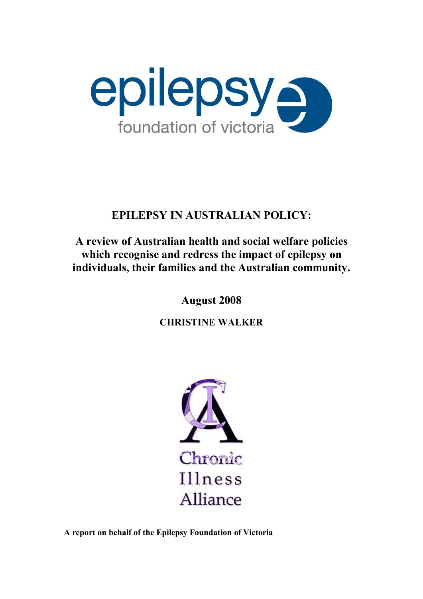

# **EPILEPSY IN AUSTRALIAN POLICY:**

# **A review of Australian health and social welfare policies which recognise and redress the impact of epilepsy on individuals, their families and the Australian community.**

**August 2008**

**CHRISTINE WALKER**



**A report on behalf of the Epilepsy Foundation of Victoria**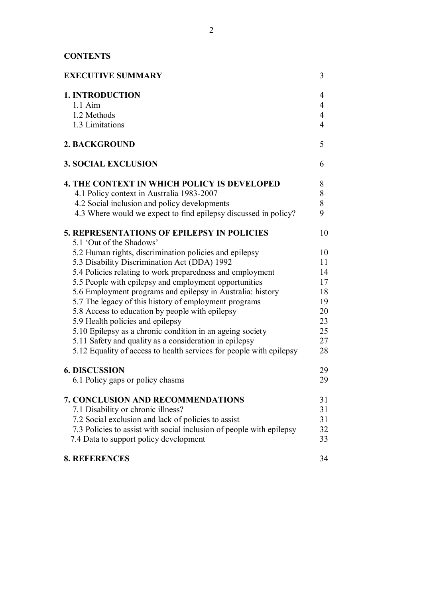# **CONTENTS**

| <b>EXECUTIVE SUMMARY</b>                                                                                                                                                                                                                                                                                                                                                                                                                                                                                                                                                                                                                                             | 3                                                              |
|----------------------------------------------------------------------------------------------------------------------------------------------------------------------------------------------------------------------------------------------------------------------------------------------------------------------------------------------------------------------------------------------------------------------------------------------------------------------------------------------------------------------------------------------------------------------------------------------------------------------------------------------------------------------|----------------------------------------------------------------|
| <b>1. INTRODUCTION</b><br>$1.1$ Aim<br>1.2 Methods<br>1.3 Limitations                                                                                                                                                                                                                                                                                                                                                                                                                                                                                                                                                                                                | 4<br>4<br>$\overline{4}$<br>4                                  |
| 2. BACKGROUND                                                                                                                                                                                                                                                                                                                                                                                                                                                                                                                                                                                                                                                        | 5                                                              |
| <b>3. SOCIAL EXCLUSION</b>                                                                                                                                                                                                                                                                                                                                                                                                                                                                                                                                                                                                                                           | 6                                                              |
| <b>4. THE CONTEXT IN WHICH POLICY IS DEVELOPED</b><br>4.1 Policy context in Australia 1983-2007<br>4.2 Social inclusion and policy developments<br>4.3 Where would we expect to find epilepsy discussed in policy?                                                                                                                                                                                                                                                                                                                                                                                                                                                   | 8<br>8<br>8<br>9                                               |
| <b>5. REPRESENTATIONS OF EPILEPSY IN POLICIES</b>                                                                                                                                                                                                                                                                                                                                                                                                                                                                                                                                                                                                                    | 10                                                             |
| 5.1 'Out of the Shadows'<br>5.2 Human rights, discrimination policies and epilepsy<br>5.3 Disability Discrimination Act (DDA) 1992<br>5.4 Policies relating to work preparedness and employment<br>5.5 People with epilepsy and employment opportunities<br>5.6 Employment programs and epilepsy in Australia: history<br>5.7 The legacy of this history of employment programs<br>5.8 Access to education by people with epilepsy<br>5.9 Health policies and epilepsy<br>5.10 Epilepsy as a chronic condition in an ageing society<br>5.11 Safety and quality as a consideration in epilepsy<br>5.12 Equality of access to health services for people with epilepsy | 10<br>11<br>14<br>17<br>18<br>19<br>20<br>23<br>25<br>27<br>28 |
| <b>6. DISCUSSION</b><br>6.1 Policy gaps or policy chasms                                                                                                                                                                                                                                                                                                                                                                                                                                                                                                                                                                                                             | 29<br>29                                                       |
| <b>7. CONCLUSION AND RECOMMENDATIONS</b><br>7.1 Disability or chronic illness?<br>7.2 Social exclusion and lack of policies to assist<br>7.3 Policies to assist with social inclusion of people with epilepsy<br>7.4 Data to support policy development                                                                                                                                                                                                                                                                                                                                                                                                              | 31<br>31<br>31<br>32<br>33                                     |
| <b>8. REFERENCES</b>                                                                                                                                                                                                                                                                                                                                                                                                                                                                                                                                                                                                                                                 | 34                                                             |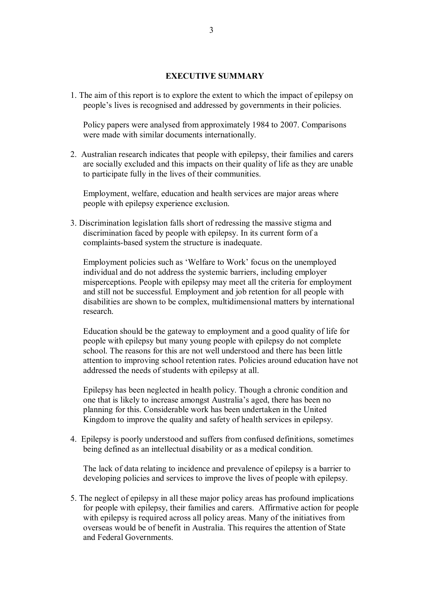#### **EXECUTIVE SUMMARY**

1. The aim of this report is to explore the extent to which the impact of epilepsy on people's lives is recognised and addressed by governments in their policies.

Policy papers were analysed from approximately 1984 to 2007. Comparisons were made with similar documents internationally.

2. Australian research indicates that people with epilepsy, their families and carers are socially excluded and this impacts on their quality of life as they are unable to participate fully in the lives of their communities.

Employment, welfare, education and health services are major areas where people with epilepsy experience exclusion.

3. Discrimination legislation falls short of redressing the massive stigma and discrimination faced by people with epilepsy. In its current form of a complaints-based system the structure is inadequate.

Employment policies such as 'Welfare to Work' focus on the unemployed individual and do not address the systemic barriers, including employer misperceptions. People with epilepsy may meet all the criteria for employment and still not be successful. Employment and job retention for all people with disabilities are shown to be complex, multidimensional matters by international research.

Education should be the gateway to employment and a good quality of life for people with epilepsy but many young people with epilepsy do not complete school. The reasons for this are not well understood and there has been little attention to improving school retention rates. Policies around education have not addressed the needs of students with epilepsy at all.

Epilepsy has been neglected in health policy. Though a chronic condition and one that is likely to increase amongst Australia's aged, there has been no planning for this. Considerable work has been undertaken in the United Kingdom to improve the quality and safety of health services in epilepsy.

4. Epilepsy is poorly understood and suffers from confused definitions, sometimes being defined as an intellectual disability or as a medical condition.

The lack of data relating to incidence and prevalence of epilepsy is a barrier to developing policies and services to improve the lives of people with epilepsy.

5. The neglect of epilepsy in all these major policy areas has profound implications for people with epilepsy, their families and carers. Affirmative action for people with epilepsy is required across all policy areas. Many of the initiatives from overseas would be of benefit in Australia. This requires the attention of State and Federal Governments.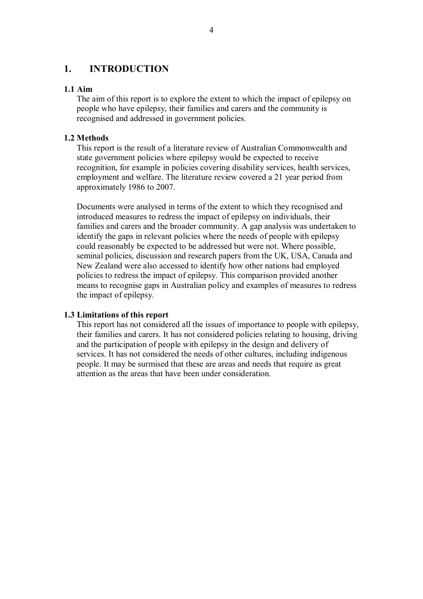# **1. INTRODUCTION**

#### **1.1 Aim**

The aim of this report is to explore the extent to which the impact of epilepsy on people who have epilepsy, their families and carers and the community is recognised and addressed in government policies.

## **1.2 Methods**

This report is the result of a literature review of Australian Commonwealth and state government policies where epilepsy would be expected to receive recognition, for example in policies covering disability services, health services, employment and welfare. The literature review covered a 21 year period from approximately 1986 to 2007.

Documents were analysed in terms of the extent to which they recognised and introduced measures to redress the impact of epilepsy on individuals, their families and carers and the broader community. A gap analysis was undertaken to identify the gaps in relevant policies where the needs of people with epilepsy could reasonably be expected to be addressed but were not. Where possible, seminal policies, discussion and research papers from the UK, USA, Canada and New Zealand were also accessed to identify how other nations had employed policies to redress the impact of epilepsy. This comparison provided another means to recognise gaps in Australian policy and examples of measures to redress the impact of epilepsy.

### **1.3 Limitations of this report**

This report has not considered all the issues of importance to people with epilepsy, their families and carers. It has not considered policies relating to housing, driving and the participation of people with epilepsy in the design and delivery of services. It has not considered the needs of other cultures, including indigenous people. It may be surmised that these are areas and needs that require as great attention as the areas that have been under consideration.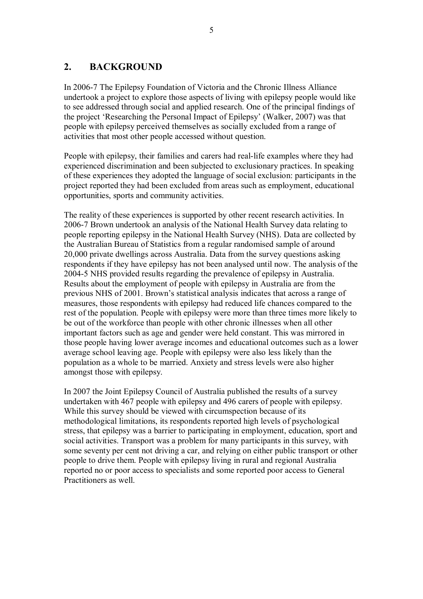# **2. BACKGROUND**

In 20067 The Epilepsy Foundation of Victoria and the Chronic Illness Alliance undertook a project to explore those aspects of living with epilepsy people would like to see addressed through social and applied research. One of the principal findings of the project 'Researching the Personal Impact of Epilepsy' (Walker, 2007) was that people with epilepsy perceived themselves as socially excluded from a range of activities that most other people accessed without question.

People with epilepsy, their families and carers had real-life examples where they had experienced discrimination and been subjected to exclusionary practices. In speaking of these experiences they adopted the language of social exclusion: participants in the project reported they had been excluded from areas such as employment, educational opportunities, sports and community activities.

The reality of these experiences is supported by other recent research activities. In 20067 Brown undertook an analysis of the National Health Survey data relating to people reporting epilepsy in the National Health Survey (NHS). Data are collected by the Australian Bureau of Statistics from a regular randomised sample of around 20,000 private dwellings across Australia. Data from the survey questions asking respondents if they have epilepsy has not been analysed until now. The analysis of the 20045 NHS provided results regarding the prevalence of epilepsy in Australia. Results about the employment of people with epilepsy in Australia are from the previous NHS of 2001. Brown's statistical analysis indicates that across a range of measures, those respondents with epilepsy had reduced life chances compared to the rest of the population. People with epilepsy were more than three times more likely to be out of the workforce than people with other chronic illnesses when all other important factors such as age and gender were held constant. This was mirrored in those people having lower average incomes and educational outcomes such as a lower average school leaving age. People with epilepsy were also less likely than the population as a whole to be married. Anxiety and stress levels were also higher amongst those with epilepsy.

In 2007 the Joint Epilepsy Council of Australia published the results of a survey undertaken with 467 people with epilepsy and 496 carers of people with epilepsy. While this survey should be viewed with circumspection because of its methodological limitations, its respondents reported high levels of psychological stress, that epilepsy was a barrier to participating in employment, education, sport and social activities. Transport was a problem for many participants in this survey, with some seventy per cent not driving a car, and relying on either public transport or other people to drive them. People with epilepsy living in rural and regional Australia reported no or poor access to specialists and some reported poor access to General Practitioners as well.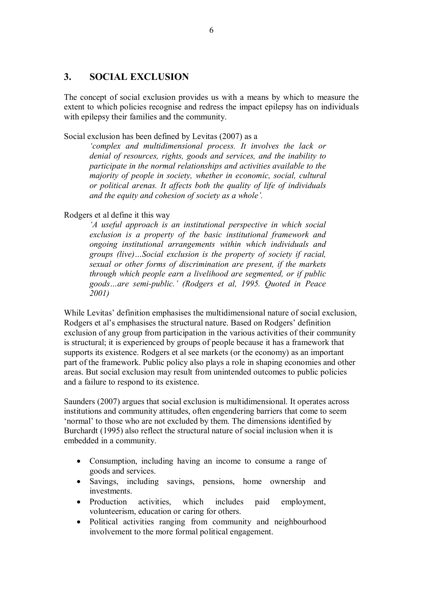# **3. SOCIAL EXCLUSION**

The concept of social exclusion provides us with a means by which to measure the extent to which policies recognise and redress the impact epilepsy has on individuals with epilepsy their families and the community.

Social exclusion has been defined by Levitas (2007) as a

*'complex and multidimensional process. It involves the lack or denial of resources, rights, goods and services, and the inability to participate in the normal relationships and activities available to the majority of people in society, whether in economic, social, cultural or political arenas. It affects both the quality of life of individuals and the equity and cohesion of society as a whole'.*

Rodgers et al define it this way

*'A useful approach is an institutional perspective in which social exclusion is a property of the basic institutional framework and ongoing institutional arrangements within which individuals and groups (live)…Social exclusion is the property of society if racial, sexual or other forms of discrimination are present, if the markets through which people earn a livelihood are segmented, or if public goods…are semipublic.' (Rodgers et al, 1995. Quoted in Peace 2001)*

While Levitas' definition emphasises the multidimensional nature of social exclusion, Rodgers et al's emphasises the structural nature. Based on Rodgers' definition exclusion of any group from participation in the various activities of their community is structural; it is experienced by groups of people because it has a framework that supports its existence. Rodgers et al see markets (or the economy) as an important part of the framework. Public policy also plays a role in shaping economies and other areas. But social exclusion may result from unintended outcomes to public policies and a failure to respond to its existence.

Saunders (2007) argues that social exclusion is multidimensional. It operates across institutions and community attitudes, often engendering barriers that come to seem 'normal' to those who are not excluded by them. The dimensions identified by Burchardt (1995) also reflect the structural nature of social inclusion when it is embedded in a community.

- Consumption, including having an income to consume a range of goods and services.
- Savings, including savings, pensions, home ownership and investments.
- Production activities, which includes paid employment, volunteerism, education or caring for others.
- Political activities ranging from community and neighbourhood involvement to the more formal political engagement.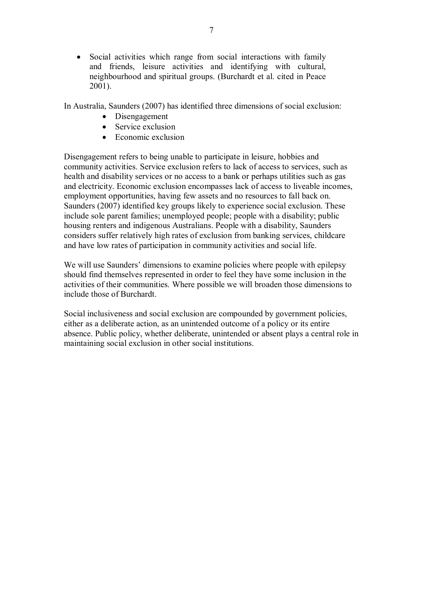· Social activities which range from social interactions with family and friends, leisure activities and identifying with cultural, neighbourhood and spiritual groups. (Burchardt et al. cited in Peace 2001).

In Australia, Saunders (2007) has identified three dimensions of social exclusion:

- Disengagement
- Service exclusion
- Economic exclusion

Disengagement refers to being unable to participate in leisure, hobbies and community activities. Service exclusion refers to lack of access to services, such as health and disability services or no access to a bank or perhaps utilities such as gas and electricity. Economic exclusion encompasses lack of access to liveable incomes, employment opportunities, having few assets and no resources to fall back on. Saunders (2007) identified key groups likely to experience social exclusion. These include sole parent families; unemployed people; people with a disability; public housing renters and indigenous Australians. People with a disability, Saunders considers suffer relatively high rates of exclusion from banking services, childcare and have low rates of participation in community activities and social life.

We will use Saunders' dimensions to examine policies where people with epilepsy should find themselves represented in order to feel they have some inclusion in the activities of their communities. Where possible we will broaden those dimensions to include those of Burchardt.

Social inclusiveness and social exclusion are compounded by government policies, either as a deliberate action, as an unintended outcome of a policy or its entire absence. Public policy, whether deliberate, unintended or absent plays a central role in maintaining social exclusion in other social institutions.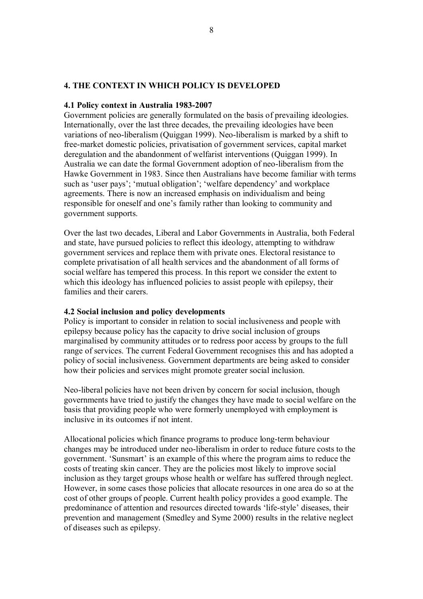# **4. THE CONTEXT IN WHICH POLICY IS DEVELOPED**

#### **4.1 Policy context in Australia 1983-2007**

Government policies are generally formulated on the basis of prevailing ideologies. Internationally, over the last three decades, the prevailing ideologies have been variations of neo-liberalism (Quiggan 1999). Neo-liberalism is marked by a shift to free-market domestic policies, privatisation of government services, capital market deregulation and the abandonment of welfarist interventions (Quiggan 1999). In Australia we can date the formal Government adoption of neo-liberalism from the Hawke Government in 1983. Since then Australians have become familiar with terms such as 'user pays'; 'mutual obligation'; 'welfare dependency' and workplace agreements. There is now an increased emphasis on individualism and being responsible for oneself and one's family rather than looking to community and government supports.

Over the last two decades, Liberal and Labor Governments in Australia, both Federal and state, have pursued policies to reflect this ideology, attempting to withdraw government services and replace them with private ones. Electoral resistance to complete privatisation of all health services and the abandonment of all forms of social welfare has tempered this process. In this report we consider the extent to which this ideology has influenced policies to assist people with epilepsy, their families and their carers.

#### **4.2 Social inclusion and policy developments**

Policy is important to consider in relation to social inclusiveness and people with epilepsy because policy has the capacity to drive social inclusion of groups marginalised by community attitudes or to redress poor access by groups to the full range of services. The current Federal Government recognises this and has adopted a policy of social inclusiveness. Government departments are being asked to consider how their policies and services might promote greater social inclusion.

Neo-liberal policies have not been driven by concern for social inclusion, though governments have tried to justify the changes they have made to social welfare on the basis that providing people who were formerly unemployed with employment is inclusive in its outcomes if not intent.

Allocational policies which finance programs to produce long-term behaviour changes may be introduced under neo-liberalism in order to reduce future costs to the government. 'Sunsmart' is an example of this where the program aims to reduce the costs of treating skin cancer. They are the policies most likely to improve social inclusion as they target groups whose health or welfare has suffered through neglect. However, in some cases those policies that allocate resources in one area do so at the cost of other groups of people. Current health policy provides a good example. The predominance of attention and resources directed towards 'life-style' diseases, their prevention and management (Smedley and Syme 2000) results in the relative neglect of diseases such as epilepsy.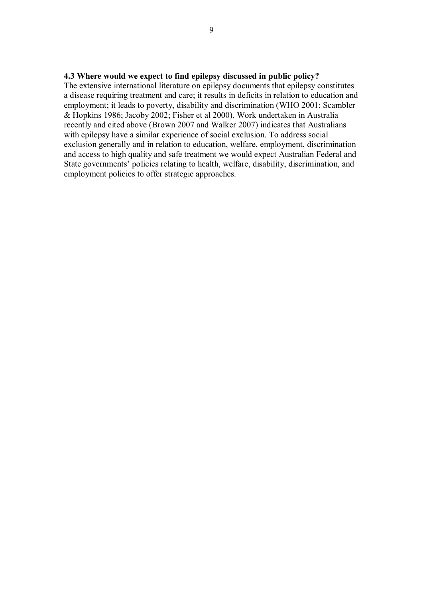The extensive international literature on epilepsy documents that epilepsy constitutes a disease requiring treatment and care; it results in deficits in relation to education and employment; it leads to poverty, disability and discrimination (WHO 2001; Scambler & Hopkins 1986; Jacoby 2002; Fisher et al 2000). Work undertaken in Australia recently and cited above (Brown 2007 and Walker 2007) indicates that Australians with epilepsy have a similar experience of social exclusion. To address social exclusion generally and in relation to education, welfare, employment, discrimination and access to high quality and safe treatment we would expect Australian Federal and State governments' policies relating to health, welfare, disability, discrimination, and employment policies to offer strategic approaches.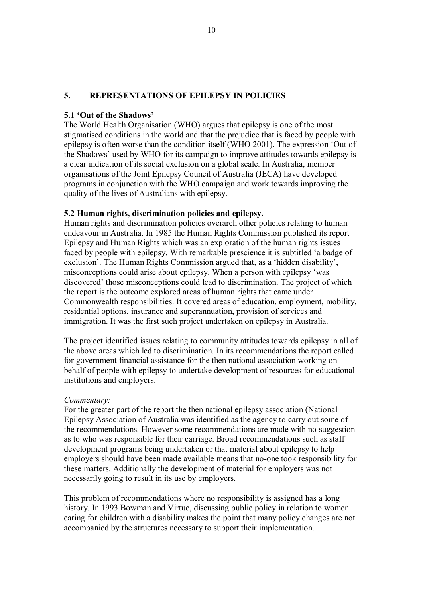## **5. REPRESENTATIONS OF EPILEPSY IN POLICIES**

#### **5.1 'Out of the Shadows'**

The World Health Organisation (WHO) argues that epilepsy is one of the most stigmatised conditions in the world and that the prejudice that is faced by people with epilepsy is often worse than the condition itself (WHO 2001). The expression 'Out of the Shadows' used by WHO for its campaign to improve attitudes towards epilepsy is a clear indication of its social exclusion on a global scale. In Australia, member organisations of the Joint Epilepsy Council of Australia (JECA) have developed programs in conjunction with the WHO campaign and work towards improving the quality of the lives of Australians with epilepsy.

### **5.2 Human rights, discrimination policies and epilepsy.**

Human rights and discrimination policies overarch other policies relating to human endeavour in Australia. In 1985 the Human Rights Commission published its report Epilepsy and Human Rights which was an exploration of the human rights issues faced by people with epilepsy. With remarkable prescience it is subtitled 'a badge of exclusion'. The Human Rights Commission argued that, as a 'hidden disability', misconceptions could arise about epilepsy. When a person with epilepsy 'was discovered' those misconceptions could lead to discrimination. The project of which the report is the outcome explored areas of human rights that came under Commonwealth responsibilities. It covered areas of education, employment, mobility, residential options, insurance and superannuation, provision of services and immigration. It was the first such project undertaken on epilepsy in Australia.

The project identified issues relating to community attitudes towards epilepsy in all of the above areas which led to discrimination. In its recommendations the report called for government financial assistance for the then national association working on behalf of people with epilepsy to undertake development of resources for educational institutions and employers.

#### *Commentary:*

For the greater part of the report the then national epilepsy association (National Epilepsy Association of Australia was identified as the agency to carry out some of the recommendations. However some recommendations are made with no suggestion as to who was responsible for their carriage. Broad recommendations such as staff development programs being undertaken or that material about epilepsy to help employers should have been made available means that no-one took responsibility for these matters. Additionally the development of material for employers was not necessarily going to result in its use by employers.

This problem of recommendations where no responsibility is assigned has a long history. In 1993 Bowman and Virtue, discussing public policy in relation to women caring for children with a disability makes the point that many policy changes are not accompanied by the structures necessary to support their implementation.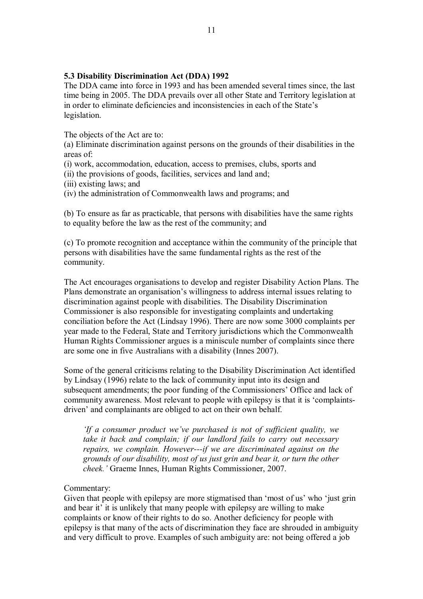## **5.3 Disability Discrimination Act (DDA) 1992**

The DDA came into force in 1993 and has been amended several times since, the last time being in 2005. The DDA prevails over all other State and Territory legislation at in order to eliminate deficiencies and inconsistencies in each of the State's legislation.

The objects of the Act are to:

(a) Eliminate discrimination against persons on the grounds of their disabilities in the areas of:

(i) work, accommodation, education, access to premises, clubs, sports and

(ii) the provisions of goods, facilities, services and land and;

(iii) existing laws; and

(iv) the administration of Commonwealth laws and programs; and

(b) To ensure as far as practicable, that persons with disabilities have the same rights to equality before the law as the rest of the community; and

(c) To promote recognition and acceptance within the community of the principle that persons with disabilities have the same fundamental rights as the rest of the community.

The Act encourages organisations to develop and register Disability Action Plans. The Plans demonstrate an organisation's willingness to address internal issues relating to discrimination against people with disabilities. The Disability Discrimination Commissioner is also responsible for investigating complaints and undertaking conciliation before the Act (Lindsay 1996). There are now some 3000 complaints per year made to the Federal, State and Territory jurisdictions which the Commonwealth Human Rights Commissioner argues is a miniscule number of complaints since there are some one in five Australians with a disability (Innes 2007).

Some of the general criticisms relating to the Disability Discrimination Act identified by Lindsay (1996) relate to the lack of community input into its design and subsequent amendments; the poor funding of the Commissioners' Office and lack of community awareness. Most relevant to people with epilepsy is that it is 'complaints driven' and complainants are obliged to act on their own behalf.

*'If a consumer product we've purchased is not of sufficient quality, we take it back and complain; if our landlord fails to carry out necessary repairs, we complain. However---if we are discriminated against on the grounds of our disability, most of us just grin and bear it, or turn the other cheek.'* Graeme Innes, Human Rights Commissioner, 2007.

### Commentary:

Given that people with epilepsy are more stigmatised than 'most of us' who 'just grin and bear it' it is unlikely that many people with epilepsy are willing to make complaints or know of their rights to do so. Another deficiency for people with epilepsy is that many of the acts of discrimination they face are shrouded in ambiguity and very difficult to prove. Examples of such ambiguity are: not being offered a job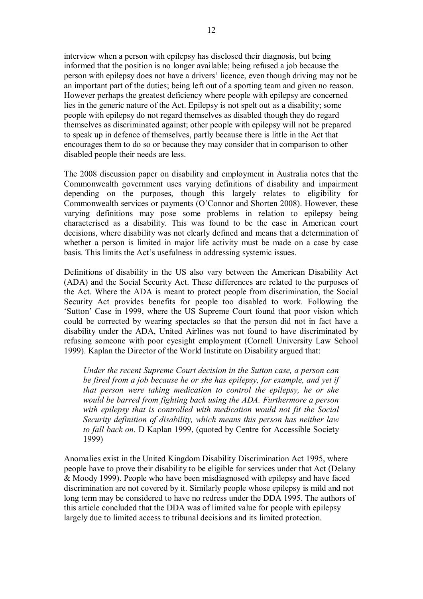interview when a person with epilepsy has disclosed their diagnosis, but being informed that the position is no longer available; being refused a job because the person with epilepsy does not have a drivers' licence, even though driving may not be an important part of the duties; being left out of a sporting team and given no reason. However perhaps the greatest deficiency where people with epilepsy are concerned lies in the generic nature of the Act. Epilepsy is not spelt out as a disability; some people with epilepsy do not regard themselves as disabled though they do regard themselves as discriminated against; other people with epilepsy will not be prepared to speak up in defence of themselves, partly because there is little in the Act that encourages them to do so or because they may consider that in comparison to other disabled people their needs are less.

The 2008 discussion paper on disability and employment in Australia notes that the Commonwealth government uses varying definitions of disability and impairment depending on the purposes, though this largely relates to eligibility for Commonwealth services or payments (O'Connor and Shorten 2008). However, these varying definitions may pose some problems in relation to epilepsy being characterised as a disability. This was found to be the case in American court decisions, where disability was not clearly defined and means that a determination of whether a person is limited in major life activity must be made on a case by case basis. This limits the Act's usefulness in addressing systemic issues.

Definitions of disability in the US also vary between the American Disability Act (ADA) and the Social Security Act. These differences are related to the purposes of the Act. Where the ADA is meant to protect people from discrimination, the Social Security Act provides benefits for people too disabled to work. Following the 'Sutton' Case in 1999, where the US Supreme Court found that poor vision which could be corrected by wearing spectacles so that the person did not in fact have a disability under the ADA, United Airlines was not found to have discriminated by refusing someone with poor eyesight employment (Cornell University Law School 1999). Kaplan the Director of the World Institute on Disability argued that:

*Under the recent Supreme Court decision in the Sutton case, a person can be fired from a job because he or she has epilepsy, for example, and yet if that person were taking medication to control the epilepsy, he or she would be barred from fighting back using the ADA. Furthermore a person with epilepsy that is controlled with medication would not fit the Social Security definition of disability, which means this person has neither law to fall back on.* D Kaplan 1999, (quoted by Centre for Accessible Society 1999)

Anomalies exist in the United Kingdom Disability Discrimination Act 1995, where people have to prove their disability to be eligible for services under that Act (Delany & Moody 1999). People who have been misdiagnosed with epilepsy and have faced discrimination are not covered by it. Similarly people whose epilepsy is mild and not long term may be considered to have no redress under the DDA 1995. The authors of this article concluded that the DDA was of limited value for people with epilepsy largely due to limited access to tribunal decisions and its limited protection.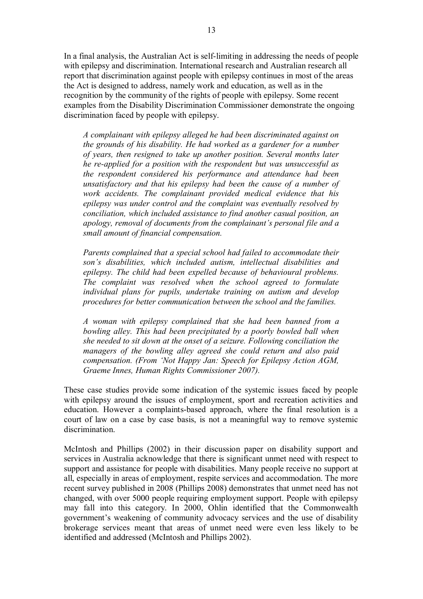In a final analysis, the Australian Act is self-limiting in addressing the needs of people with epilepsy and discrimination. International research and Australian research all report that discrimination against people with epilepsy continues in most of the areas the Act is designed to address, namely work and education, as well as in the recognition by the community of the rights of people with epilepsy. Some recent examples from the Disability Discrimination Commissioner demonstrate the ongoing discrimination faced by people with epilepsy.

*A complainant with epilepsy alleged he had been discriminated against on the grounds of his disability. He had worked as a gardener for a number of years, then resigned to take up another position. Several months later he reapplied for a position with the respondent but was unsuccessful as the respondent considered his performance and attendance had been unsatisfactory and that his epilepsy had been the cause of a number of work accidents. The complainant provided medical evidence that his epilepsy was under control and the complaint was eventually resolved by conciliation, which included assistance to find another casual position, an apology, removal of documents from the complainant's personal file and a small amount of financial compensation.*

*Parents complained that a special school had failed to accommodate their son's disabilities, which included autism, intellectual disabilities and epilepsy. The child had been expelled because of behavioural problems. The complaint was resolved when the school agreed to formulate individual plans for pupils, undertake training on autism and develop procedures for better communication between the school and the families.*

*A woman with epilepsy complained that she had been banned from a bowling alley. This had been precipitated by a poorly bowled ball when she needed to sit down at the onset of a seizure. Following conciliation the managers of the bowling alley agreed she could return and also paid compensation. (From 'Not Happy Jan: Speech for Epilepsy Action AGM, Graeme Innes, Human Rights Commissioner 2007).*

These case studies provide some indication of the systemic issues faced by people with epilepsy around the issues of employment, sport and recreation activities and education. However a complaints-based approach, where the final resolution is a court of law on a case by case basis, is not a meaningful way to remove systemic discrimination.

McIntosh and Phillips (2002) in their discussion paper on disability support and services in Australia acknowledge that there is significant unmet need with respect to support and assistance for people with disabilities. Many people receive no support at all, especially in areas of employment, respite services and accommodation. The more recent survey published in 2008 (Phillips 2008) demonstrates that unmet need has not changed, with over 5000 people requiring employment support. People with epilepsy may fall into this category. In 2000, Ohlin identified that the Commonwealth government's weakening of community advocacy services and the use of disability brokerage services meant that areas of unmet need were even less likely to be identified and addressed (McIntosh and Phillips 2002).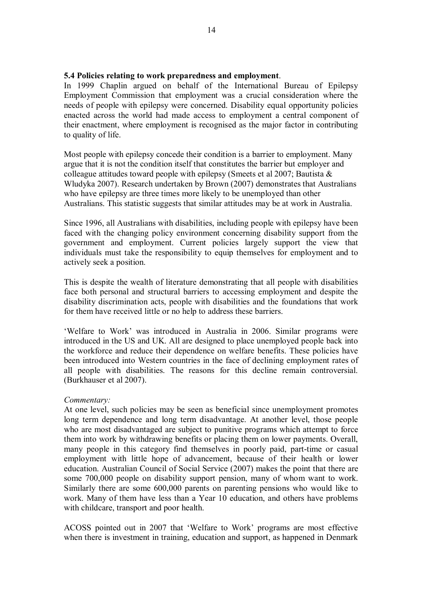#### **5.4 Policies relating to work preparedness and employment**.

In 1999 Chaplin argued on behalf of the International Bureau of Epilepsy Employment Commission that employment was a crucial consideration where the needs of people with epilepsy were concerned. Disability equal opportunity policies enacted across the world had made access to employment a central component of their enactment, where employment is recognised as the major factor in contributing to quality of life.

Most people with epilepsy concede their condition is a barrier to employment. Many argue that it is not the condition itself that constitutes the barrier but employer and colleague attitudes toward people with epilepsy (Smeets et al 2007; Bautista & Wludyka 2007). Research undertaken by Brown (2007) demonstrates that Australians who have epilepsy are three times more likely to be unemployed than other Australians. This statistic suggests that similar attitudes may be at work in Australia.

Since 1996, all Australians with disabilities, including people with epilepsy have been faced with the changing policy environment concerning disability support from the government and employment. Current policies largely support the view that individuals must take the responsibility to equip themselves for employment and to actively seek a position.

This is despite the wealth of literature demonstrating that all people with disabilities face both personal and structural barriers to accessing employment and despite the disability discrimination acts, people with disabilities and the foundations that work for them have received little or no help to address these barriers.

'Welfare to Work' was introduced in Australia in 2006. Similar programs were introduced in the US and UK. All are designed to place unemployed people back into the workforce and reduce their dependence on welfare benefits. These policies have been introduced into Western countries in the face of declining employment rates of all people with disabilities. The reasons for this decline remain controversial. (Burkhauser et al 2007).

#### *Commentary:*

At one level, such policies may be seen as beneficial since unemployment promotes long term dependence and long term disadvantage. At another level, those people who are most disadvantaged are subject to punitive programs which attempt to force them into work by withdrawing benefits or placing them on lower payments. Overall, many people in this category find themselves in poorly paid, part-time or casual employment with little hope of advancement, because of their health or lower education. Australian Council of Social Service (2007) makes the point that there are some 700,000 people on disability support pension, many of whom want to work. Similarly there are some  $600,000$  parents on parenting pensions who would like to work. Many of them have less than a Year 10 education, and others have problems with childcare, transport and poor health.

ACOSS pointed out in 2007 that 'Welfare to Work' programs are most effective when there is investment in training, education and support, as happened in Denmark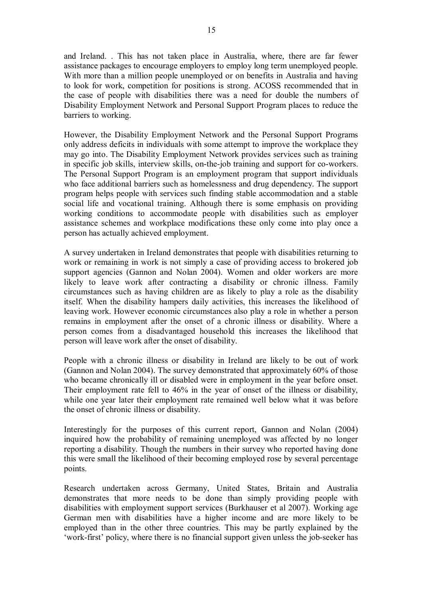and Ireland. . This has not taken place in Australia, where, there are far fewer assistance packages to encourage employers to employ long term unemployed people. With more than a million people unemployed or on benefits in Australia and having to look for work, competition for positions is strong. ACOSS recommended that in the case of people with disabilities there was a need for double the numbers of Disability Employment Network and Personal Support Program places to reduce the barriers to working.

However, the Disability Employment Network and the Personal Support Programs only address deficits in individuals with some attempt to improve the workplace they may go into. The Disability Employment Network provides services such as training in specific job skills, interview skills, on-the-job training and support for co-workers. The Personal Support Program is an employment program that support individuals who face additional barriers such as homelessness and drug dependency. The support program helps people with services such finding stable accommodation and a stable social life and vocational training. Although there is some emphasis on providing working conditions to accommodate people with disabilities such as employer assistance schemes and workplace modifications these only come into play once a person has actually achieved employment.

A survey undertaken in Ireland demonstrates that people with disabilities returning to work or remaining in work is not simply a case of providing access to brokered job support agencies (Gannon and Nolan 2004). Women and older workers are more likely to leave work after contracting a disability or chronic illness. Family circumstances such as having children are as likely to play a role as the disability itself. When the disability hampers daily activities, this increases the likelihood of leaving work. However economic circumstances also play a role in whether a person remains in employment after the onset of a chronic illness or disability. Where a person comes from a disadvantaged household this increases the likelihood that person will leave work after the onset of disability.

People with a chronic illness or disability in Ireland are likely to be out of work (Gannon and Nolan 2004). The survey demonstrated that approximately 60% of those who became chronically ill or disabled were in employment in the year before onset. Their employment rate fell to 46% in the year of onset of the illness or disability, while one year later their employment rate remained well below what it was before the onset of chronic illness or disability.

Interestingly for the purposes of this current report, Gannon and Nolan (2004) inquired how the probability of remaining unemployed was affected by no longer reporting a disability. Though the numbers in their survey who reported having done this were small the likelihood of their becoming employed rose by several percentage points.

Research undertaken across Germany, United States, Britain and Australia demonstrates that more needs to be done than simply providing people with disabilities with employment support services (Burkhauser et al 2007). Working age German men with disabilities have a higher income and are more likely to be employed than in the other three countries. This may be partly explained by the 'work-first' policy, where there is no financial support given unless the job-seeker has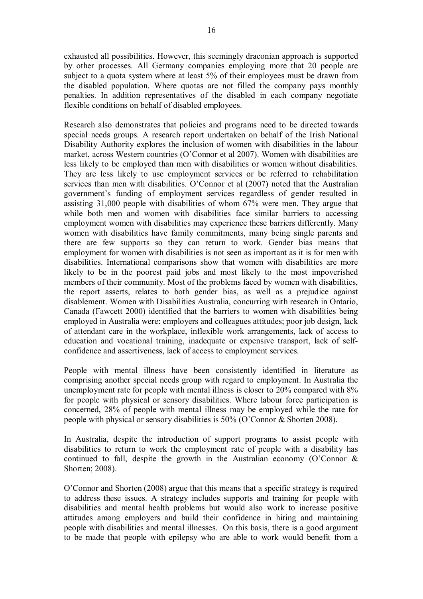exhausted all possibilities. However, this seemingly draconian approach is supported by other processes. All Germany companies employing more that 20 people are subject to a quota system where at least 5% of their employees must be drawn from the disabled population. Where quotas are not filled the company pays monthly penalties. In addition representatives of the disabled in each company negotiate flexible conditions on behalf of disabled employees.

Research also demonstrates that policies and programs need to be directed towards special needs groups. A research report undertaken on behalf of the Irish National Disability Authority explores the inclusion of women with disabilities in the labour market, across Western countries (O'Connor et al 2007). Women with disabilities are less likely to be employed than men with disabilities or women without disabilities. They are less likely to use employment services or be referred to rehabilitation services than men with disabilities. O'Connor et al (2007) noted that the Australian government's funding of employment services regardless of gender resulted in assisting 31,000 people with disabilities of whom 67% were men. They argue that while both men and women with disabilities face similar barriers to accessing employment women with disabilities may experience these barriers differently. Many women with disabilities have family commitments, many being single parents and there are few supports so they can return to work. Gender bias means that employment for women with disabilities is not seen as important as it is for men with disabilities. International comparisons show that women with disabilities are more likely to be in the poorest paid jobs and most likely to the most impoverished members of their community. Most of the problems faced by women with disabilities, the report asserts, relates to both gender bias, as well as a prejudice against disablement. Women with Disabilities Australia, concurring with research in Ontario, Canada (Fawcett 2000) identified that the barriers to women with disabilities being employed in Australia were: employers and colleagues attitudes; poor job design, lack of attendant care in the workplace, inflexible work arrangements, lack of access to education and vocational training, inadequate or expensive transport, lack of self confidence and assertiveness, lack of access to employment services.

People with mental illness have been consistently identified in literature as comprising another special needs group with regard to employment. In Australia the unemployment rate for people with mental illness is closer to 20% compared with 8% for people with physical or sensory disabilities. Where labour force participation is concerned, 28% of people with mental illness may be employed while the rate for people with physical or sensory disabilities is 50% (O'Connor & Shorten 2008).

In Australia, despite the introduction of support programs to assist people with disabilities to return to work the employment rate of people with a disability has continued to fall, despite the growth in the Australian economy (O'Connor  $\&$ Shorten; 2008).

O'Connor and Shorten (2008) argue that this means that a specific strategy is required to address these issues. A strategy includes supports and training for people with disabilities and mental health problems but would also work to increase positive attitudes among employers and build their confidence in hiring and maintaining people with disabilities and mental illnesses. On this basis, there is a good argument to be made that people with epilepsy who are able to work would benefit from a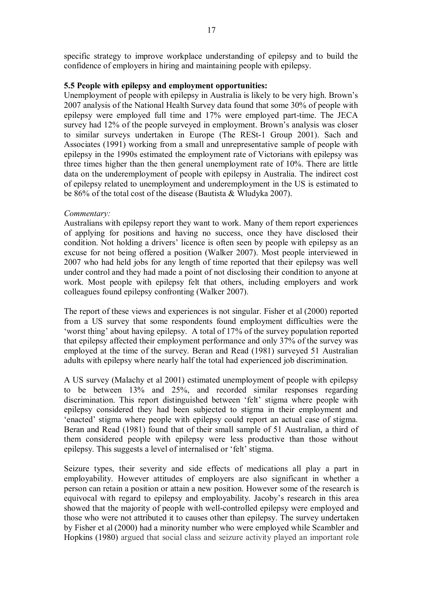specific strategy to improve workplace understanding of epilepsy and to build the confidence of employers in hiring and maintaining people with epilepsy.

#### **5.5 People with epilepsy and employment opportunities:**

Unemployment of people with epilepsy in Australia is likely to be very high. Brown's 2007 analysis of the National Health Survey data found that some 30% of people with epilepsy were employed full time and 17% were employed part-time. The JECA survey had 12% of the people surveyed in employment. Brown's analysis was closer to similar surveys undertaken in Europe (The RESt-1 Group 2001). Sach and Associates (1991) working from a small and unrepresentative sample of people with epilepsy in the 1990s estimated the employment rate of Victorians with epilepsy was three times higher than the then general unemployment rate of 10%. There are little data on the underemployment of people with epilepsy in Australia. The indirect cost of epilepsy related to unemployment and underemployment in the US is estimated to be 86% of the total cost of the disease (Bautista & Wludyka 2007).

#### *Commentary:*

Australians with epilepsy report they want to work. Many of them report experiences of applying for positions and having no success, once they have disclosed their condition. Not holding a drivers' licence is often seen by people with epilepsy as an excuse for not being offered a position (Walker 2007). Most people interviewed in 2007 who had held jobs for any length of time reported that their epilepsy was well under control and they had made a point of not disclosing their condition to anyone at work. Most people with epilepsy felt that others, including employers and work colleagues found epilepsy confronting (Walker 2007).

The report of these views and experiences is not singular. Fisher et al (2000) reported from a US survey that some respondents found employment difficulties were the 'worst thing' about having epilepsy. A total of 17% of the survey population reported that epilepsy affected their employment performance and only 37% of the survey was employed at the time of the survey. Beran and Read (1981) surveyed 51 Australian adults with epilepsy where nearly half the total had experienced job discrimination.

A US survey (Malachy et al 2001) estimated unemployment of people with epilepsy to be between 13% and 25%, and recorded similar responses regarding discrimination. This report distinguished between 'felt' stigma where people with epilepsy considered they had been subjected to stigma in their employment and 'enacted' stigma where people with epilepsy could report an actual case of stigma. Beran and Read (1981) found that of their small sample of 51 Australian, a third of them considered people with epilepsy were less productive than those without epilepsy. This suggests a level of internalised or 'felt' stigma.

Seizure types, their severity and side effects of medications all play a part in employability. However attitudes of employers are also significant in whether a person can retain a position or attain a new position. However some of the research is equivocal with regard to epilepsy and employability. Jacoby's research in this area showed that the majority of people with well-controlled epilepsy were employed and those who were not attributed it to causes other than epilepsy. The survey undertaken by Fisher et al (2000) had a minority number who were employed while Scambler and Hopkins (1980) argued that social class and seizure activity played an important role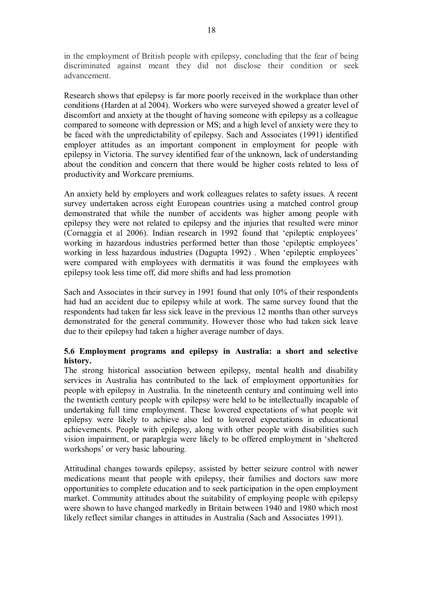in the employment of British people with epilepsy, concluding that the fear of being discriminated against meant they did not disclose their condition or seek advancement.

Research shows that epilepsy is far more poorly received in the workplace than other conditions (Harden at al 2004). Workers who were surveyed showed a greater level of discomfort and anxiety at the thought of having someone with epilepsy as a colleague compared to someone with depression or MS; and a high level of anxiety were they to be faced with the unpredictability of epilepsy. Sach and Associates (1991) identified employer attitudes as an important component in employment for people with epilepsy in Victoria. The survey identified fear of the unknown, lack of understanding about the condition and concern that there would be higher costs related to loss of productivity and Workcare premiums.

An anxiety held by employers and work colleagues relates to safety issues. A recent survey undertaken across eight European countries using a matched control group demonstrated that while the number of accidents was higher among people with epilepsy they were not related to epilepsy and the injuries that resulted were minor (Cornaggia et al 2006). Indian research in 1992 found that 'epileptic employees' working in hazardous industries performed better than those 'epileptic employees' working in less hazardous industries (Dagupta 1992). When 'epileptic employees' were compared with employees with dermatitis it was found the employees with epilepsy took less time off, did more shifts and had less promotion

Sach and Associates in their survey in 1991 found that only 10% of their respondents had had an accident due to epilepsy while at work. The same survey found that the respondents had taken far less sick leave in the previous 12 months than other surveys demonstrated for the general community. However those who had taken sick leave due to their epilepsy had taken a higher average number of days.

# **5.6 Employment programs and epilepsy in Australia: a short and selective history.**

The strong historical association between epilepsy, mental health and disability services in Australia has contributed to the lack of employment opportunities for people with epilepsy in Australia. In the nineteenth century and continuing well into the twentieth century people with epilepsy were held to be intellectually incapable of undertaking full time employment. These lowered expectations of what people wit epilepsy were likely to achieve also led to lowered expectations in educational achievements. People with epilepsy, along with other people with disabilities such vision impairment, or paraplegia were likely to be offered employment in 'sheltered workshops' or very basic labouring.

Attitudinal changes towards epilepsy, assisted by better seizure control with newer medications meant that people with epilepsy, their families and doctors saw more opportunities to complete education and to seek participation in the open employment market. Community attitudes about the suitability of employing people with epilepsy were shown to have changed markedly in Britain between 1940 and 1980 which most likely reflect similar changes in attitudes in Australia (Sach and Associates 1991).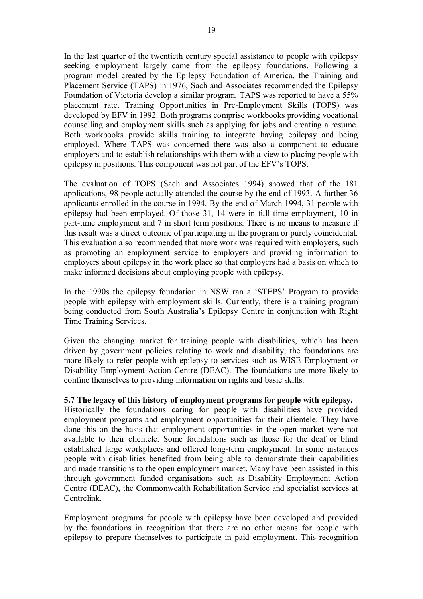In the last quarter of the twentieth century special assistance to people with epilepsy seeking employment largely came from the epilepsy foundations. Following a program model created by the Epilepsy Foundation of America, the Training and Placement Service (TAPS) in 1976, Sach and Associates recommended the Epilepsy Foundation of Victoria develop a similar program. TAPS was reported to have a 55% placement rate. Training Opportunities in Pre-Employment Skills (TOPS) was developed by EFV in 1992. Both programs comprise workbooks providing vocational counselling and employment skills such as applying for jobs and creating a resume. Both workbooks provide skills training to integrate having epilepsy and being employed. Where TAPS was concerned there was also a component to educate employers and to establish relationships with them with a view to placing people with epilepsy in positions. This component was not part of the EFV's TOPS.

The evaluation of TOPS (Sach and Associates 1994) showed that of the 181 applications, 98 people actually attended the course by the end of 1993. A further 36 applicants enrolled in the course in 1994. By the end of March 1994, 31 people with epilepsy had been employed. Of those 31, 14 were in full time employment, 10 in part-time employment and 7 in short term positions. There is no means to measure if this result was a direct outcome of participating in the program or purely coincidental. This evaluation also recommended that more work was required with employers, such as promoting an employment service to employers and providing information to employers about epilepsy in the work place so that employers had a basis on which to make informed decisions about employing people with epilepsy.

In the 1990s the epilepsy foundation in NSW ran a 'STEPS' Program to provide people with epilepsy with employment skills. Currently, there is a training program being conducted from South Australia's Epilepsy Centre in conjunction with Right Time Training Services.

Given the changing market for training people with disabilities, which has been driven by government policies relating to work and disability, the foundations are more likely to refer people with epilepsy to services such as WISE Employment or Disability Employment Action Centre (DEAC). The foundations are more likely to confine themselves to providing information on rights and basic skills.

### **5.7 The legacy of this history of employment programs for people with epilepsy.**

Historically the foundations caring for people with disabilities have provided employment programs and employment opportunities for their clientele. They have done this on the basis that employment opportunities in the open market were not available to their clientele. Some foundations such as those for the deaf or blind established large workplaces and offered long-term employment. In some instances people with disabilities benefited from being able to demonstrate their capabilities and made transitions to the open employment market. Many have been assisted in this through government funded organisations such as Disability Employment Action Centre (DEAC), the Commonwealth Rehabilitation Service and specialist services at Centrelink.

Employment programs for people with epilepsy have been developed and provided by the foundations in recognition that there are no other means for people with epilepsy to prepare themselves to participate in paid employment. This recognition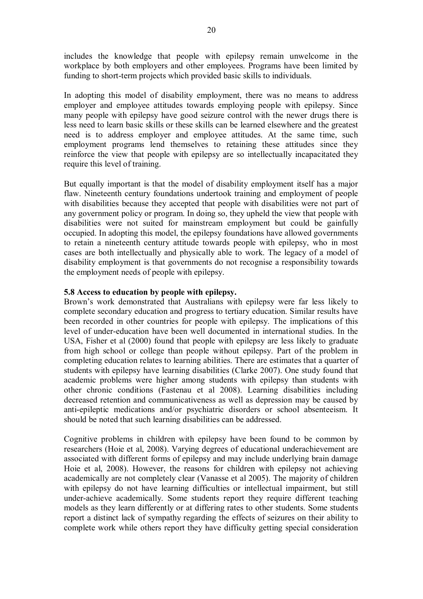includes the knowledge that people with epilepsy remain unwelcome in the workplace by both employers and other employees. Programs have been limited by funding to short-term projects which provided basic skills to individuals.

In adopting this model of disability employment, there was no means to address employer and employee attitudes towards employing people with epilepsy. Since many people with epilepsy have good seizure control with the newer drugs there is less need to learn basic skills or these skills can be learned elsewhere and the greatest need is to address employer and employee attitudes. At the same time, such employment programs lend themselves to retaining these attitudes since they reinforce the view that people with epilepsy are so intellectually incapacitated they require this level of training.

But equally important is that the model of disability employment itself has a major flaw. Nineteenth century foundations undertook training and employment of people with disabilities because they accepted that people with disabilities were not part of any government policy or program. In doing so, they upheld the view that people with disabilities were not suited for mainstream employment but could be gainfully occupied. In adopting this model, the epilepsy foundations have allowed governments to retain a nineteenth century attitude towards people with epilepsy, who in most cases are both intellectually and physically able to work. The legacy of a model of disability employment is that governments do not recognise a responsibility towards the employment needs of people with epilepsy.

### **5.8 Access to education by people with epilepsy.**

Brown's work demonstrated that Australians with epilepsy were far less likely to complete secondary education and progress to tertiary education. Similar results have been recorded in other countries for people with epilepsy. The implications of this level of under-education have been well documented in international studies. In the USA, Fisher et al (2000) found that people with epilepsy are less likely to graduate from high school or college than people without epilepsy. Part of the problem in completing education relates to learning abilities. There are estimates that a quarter of students with epilepsy have learning disabilities (Clarke 2007). One study found that academic problems were higher among students with epilepsy than students with other chronic conditions (Fastenau et al 2008). Learning disabilities including decreased retention and communicativeness as well as depression may be caused by anti-epileptic medications and/or psychiatric disorders or school absenteeism. It should be noted that such learning disabilities can be addressed.

Cognitive problems in children with epilepsy have been found to be common by researchers (Hoie et al, 2008). Varying degrees of educational underachievement are associated with different forms of epilepsy and may include underlying brain damage Hoie et al, 2008). However, the reasons for children with epilepsy not achieving academically are not completely clear (Vanasse et al 2005). The majority of children with epilepsy do not have learning difficulties or intellectual impairment, but still under-achieve academically. Some students report they require different teaching models as they learn differently or at differing rates to other students. Some students report a distinct lack of sympathy regarding the effects of seizures on their ability to complete work while others report they have difficulty getting special consideration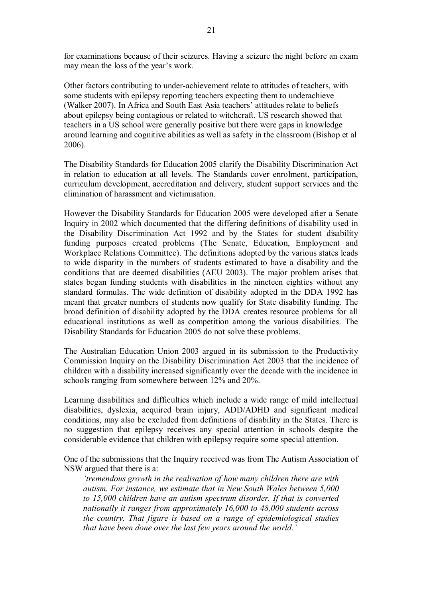for examinations because of their seizures. Having a seizure the night before an exam may mean the loss of the year's work.

Other factors contributing to under-achievement relate to attitudes of teachers, with some students with epilepsy reporting teachers expecting them to underachieve (Walker 2007). In Africa and South East Asia teachers' attitudes relate to beliefs about epilepsy being contagious or related to witchcraft. US research showed that teachers in a US school were generally positive but there were gaps in knowledge around learning and cognitive abilities as well as safety in the classroom (Bishop et al 2006).

The Disability Standards for Education 2005 clarify the Disability Discrimination Act in relation to education at all levels. The Standards cover enrolment, participation, curriculum development, accreditation and delivery, student support services and the elimination of harassment and victimisation.

However the Disability Standards for Education 2005 were developed after a Senate Inquiry in 2002 which documented that the differing definitions of disability used in the Disability Discrimination Act 1992 and by the States for student disability funding purposes created problems (The Senate, Education, Employment and Workplace Relations Committee). The definitions adopted by the various states leads to wide disparity in the numbers of students estimated to have a disability and the conditions that are deemed disabilities (AEU 2003). The major problem arises that states began funding students with disabilities in the nineteen eighties without any standard formulas. The wide definition of disability adopted in the DDA 1992 has meant that greater numbers of students now qualify for State disability funding. The broad definition of disability adopted by the DDA creates resource problems for all educational institutions as well as competition among the various disabilities. The Disability Standards for Education 2005 do not solve these problems.

The Australian Education Union 2003 argued in its submission to the Productivity Commission Inquiry on the Disability Discrimination Act 2003 that the incidence of children with a disability increased significantly over the decade with the incidence in schools ranging from somewhere between 12% and 20%.

Learning disabilities and difficulties which include a wide range of mild intellectual disabilities, dyslexia, acquired brain injury, ADD/ADHD and significant medical conditions, may also be excluded from definitions of disability in the States. There is no suggestion that epilepsy receives any special attention in schools despite the considerable evidence that children with epilepsy require some special attention.

One of the submissions that the Inquiry received was from The Autism Association of NSW argued that there is a:

*'tremendous growth in the realisation of how many children there are with autism. For instance, we estimate that in New South Wales between 5,000 to 15,000 children have an autism spectrum disorder. If that is converted nationally it ranges from approximately 16,000 to 48,000 students across the country. That figure is based on a range of epidemiological studies that have been done over the last few years around the world.'*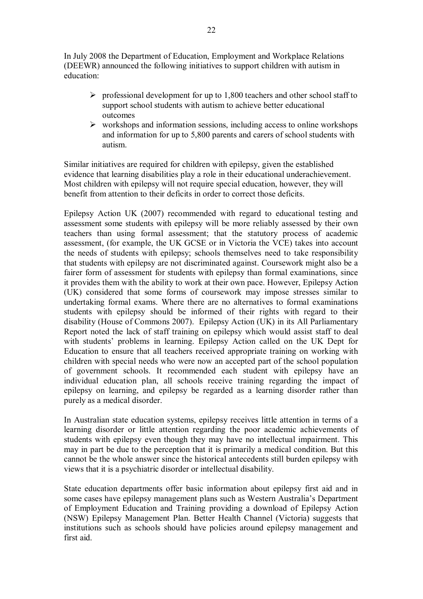In July 2008 the Department of Education, Employment and Workplace Relations (DEEWR) announced the following initiatives to support children with autism in education:

- $\triangleright$  professional development for up to 1,800 teachers and other school staff to support school students with autism to achieve better educational outcomes
- $\triangleright$  workshops and information sessions, including access to online workshops and information for up to 5,800 parents and carers of school students with autism.

Similar initiatives are required for children with epilepsy, given the established evidence that learning disabilities play a role in their educational underachievement. Most children with epilepsy will not require special education, however, they will benefit from attention to their deficits in order to correct those deficits.

Epilepsy Action UK (2007) recommended with regard to educational testing and assessment some students with epilepsy will be more reliably assessed by their own teachers than using formal assessment; that the statutory process of academic assessment, (for example, the UK GCSE or in Victoria the VCE) takes into account the needs of students with epilepsy; schools themselves need to take responsibility that students with epilepsy are not discriminated against. Coursework might also be a fairer form of assessment for students with epilepsy than formal examinations, since it provides them with the ability to work at their own pace. However, Epilepsy Action (UK) considered that some forms of coursework may impose stresses similar to undertaking formal exams. Where there are no alternatives to formal examinations students with epilepsy should be informed of their rights with regard to their disability (House of Commons 2007). Epilepsy Action (UK) in its All Parliamentary Report noted the lack of staff training on epilepsy which would assist staff to deal with students' problems in learning. Epilepsy Action called on the UK Dept for Education to ensure that all teachers received appropriate training on working with children with special needs who were now an accepted part of the school population of government schools. It recommended each student with epilepsy have an individual education plan, all schools receive training regarding the impact of epilepsy on learning, and epilepsy be regarded as a learning disorder rather than purely as a medical disorder.

In Australian state education systems, epilepsy receives little attention in terms of a learning disorder or little attention regarding the poor academic achievements of students with epilepsy even though they may have no intellectual impairment. This may in part be due to the perception that it is primarily a medical condition. But this cannot be the whole answer since the historical antecedents still burden epilepsy with views that it is a psychiatric disorder or intellectual disability.

State education departments offer basic information about epilepsy first aid and in some cases have epilepsy management plans such as Western Australia's Department of Employment Education and Training providing a download of Epilepsy Action (NSW) Epilepsy Management Plan. Better Health Channel (Victoria) suggests that institutions such as schools should have policies around epilepsy management and first aid.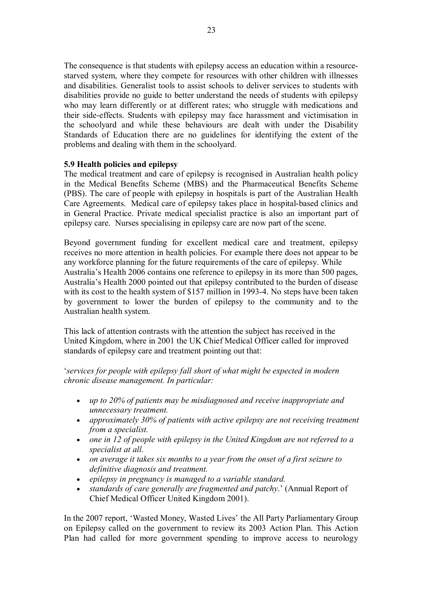The consequence is that students with epilepsy access an education within a resource starved system, where they compete for resources with other children with illnesses and disabilities. Generalist tools to assist schools to deliver services to students with disabilities provide no guide to better understand the needs of students with epilepsy who may learn differently or at different rates; who struggle with medications and their side-effects. Students with epilepsy may face harassment and victimisation in the schoolyard and while these behaviours are dealt with under the Disability Standards of Education there are no guidelines for identifying the extent of the problems and dealing with them in the schoolyard.

### **5.9 Health policies and epilepsy**

The medical treatment and care of epilepsy is recognised in Australian health policy in the Medical Benefits Scheme (MBS) and the Pharmaceutical Benefits Scheme (PBS). The care of people with epilepsy in hospitals is part of the Australian Health Care Agreements. Medical care of epilepsy takes place in hospital-based clinics and in General Practice. Private medical specialist practice is also an important part of epilepsy care. Nurses specialising in epilepsy care are now part of the scene.

Beyond government funding for excellent medical care and treatment, epilepsy receives no more attention in health policies. For example there does not appear to be any workforce planning for the future requirements of the care of epilepsy. While Australia's Health 2006 contains one reference to epilepsy in its more than 500 pages, Australia's Health 2000 pointed out that epilepsy contributed to the burden of disease with its cost to the health system of \$157 million in 1993-4. No steps have been taken by government to lower the burden of epilepsy to the community and to the Australian health system.

This lack of attention contrasts with the attention the subject has received in the United Kingdom, where in 2001 the UK Chief Medical Officer called for improved standards of epilepsy care and treatment pointing out that:

'*services for people with epilepsy fall short of what might be expected in modern chronic disease management. In particular:*

- · *up to 20% of patients may be misdiagnosed and receive inappropriate and unnecessary treatment.*
- · *approximately 30% of patients with active epilepsy are not receiving treatment from a specialist.*
- · *one in 12 of people with epilepsy in the United Kingdom are not referred to a specialist at all.*
- · *on average it takes six months to a year from the onset of a first seizure to definitive diagnosis and treatment.*
- · *epilepsy in pregnancy is managed to a variable standard.*
- · *standards of care generally are fragmented and patchy*.' (Annual Report of Chief Medical Officer United Kingdom 2001).

In the 2007 report, 'Wasted Money, Wasted Lives' the All Party Parliamentary Group on Epilepsy called on the government to review its 2003 Action Plan. This Action Plan had called for more government spending to improve access to neurology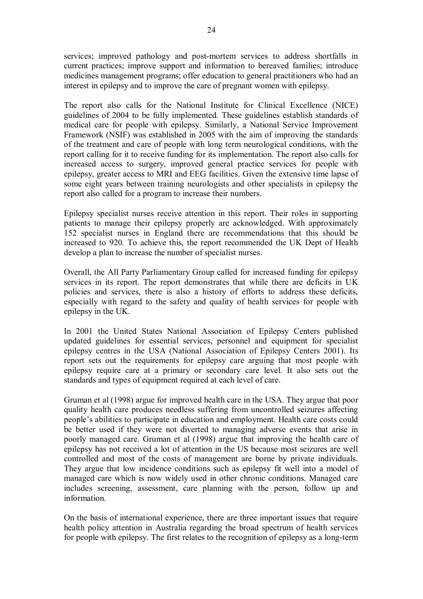services; improved pathology and post-mortem services to address shortfalls in current practices; improve support and information to bereaved families; introduce medicines management programs; offer education to general practitioners who had an interest in epilepsy and to improve the care of pregnant women with epilepsy.

The report also calls for the National Institute for Clinical Excellence (NICE) guidelines of 2004 to be fully implemented. These guidelines establish standards of medical care for people with epilepsy. Similarly, a National Service Improvement Framework (NSIF) was established in 2005 with the aim of improving the standards of the treatment and care of people with long term neurological conditions, with the report calling for it to receive funding for its implementation. The report also calls for increased access to surgery, improved general practice services for people with epilepsy, greater access to MRI and EEG facilities. Given the extensive time lapse of some eight years between training neurologists and other specialists in epilepsy the report also called for a program to increase their numbers.

Epilepsy specialist nurses receive attention in this report. Their roles in supporting patients to manage their epilepsy properly are acknowledged. With approximately 152 specialist nurses in England there are recommendations that this should be increased to 920. To achieve this, the report recommended the UK Dept of Health develop a plan to increase the number of specialist nurses.

Overall, the All Party Parliamentary Group called for increased funding for epilepsy services in its report. The report demonstrates that while there are deficits in UK policies and services, there is also a history of efforts to address these deficits, especially with regard to the safety and quality of health services for people with epilepsy in the UK.

In 2001 the United States National Association of Epilepsy Centers published updated guidelines for essential services, personnel and equipment for specialist epilepsy centres in the USA (National Association of Epilepsy Centers 2001). Its report sets out the requirements for epilepsy care arguing that most people with epilepsy require care at a primary or secondary care level. It also sets out the standards and types of equipment required at each level of care.

Gruman et al (1998) argue for improved health care in the USA. They argue that poor quality health care produces needless suffering from uncontrolled seizures affecting people's abilities to participate in education and employment. Health care costs could be better used if they were not diverted to managing adverse events that arise in poorly managed care. Gruman et al (1998) argue that improving the health care of epilepsy has not received a lot of attention in the US because most seizures are well controlled and most of the costs of management are borne by private individuals. They argue that low incidence conditions such as epilepsy fit well into a model of managed care which is now widely used in other chronic conditions. Managed care includes screening, assessment, care planning with the person, follow up and information.

On the basis of international experience, there are three important issues that require health policy attention in Australia regarding the broad spectrum of health services for people with epilepsy. The first relates to the recognition of epilepsy as a long-term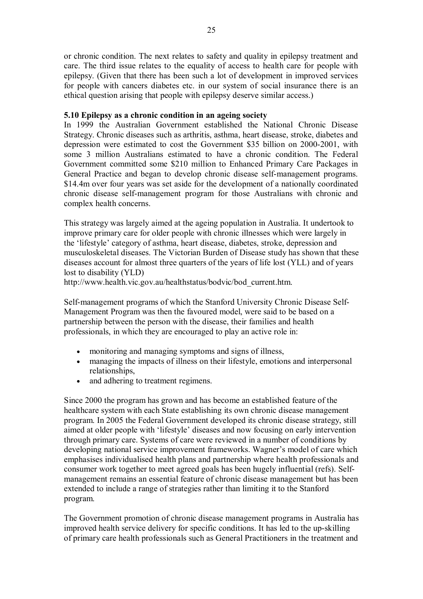or chronic condition. The next relates to safety and quality in epilepsy treatment and care. The third issue relates to the equality of access to health care for people with epilepsy. (Given that there has been such a lot of development in improved services for people with cancers diabetes etc. in our system of social insurance there is an ethical question arising that people with epilepsy deserve similar access.)

## **5.10 Epilepsy as a chronic condition in an ageing society**

In 1999 the Australian Government established the National Chronic Disease Strategy. Chronic diseases such as arthritis, asthma, heart disease, stroke, diabetes and depression were estimated to cost the Government \$35 billion on 2000-2001, with some 3 million Australians estimated to have a chronic condition. The Federal Government committed some \$210 million to Enhanced Primary Care Packages in General Practice and began to develop chronic disease self-management programs. \$14.4m over four years was set aside for the development of a nationally coordinated chronic disease self-management program for those Australians with chronic and complex health concerns.

This strategy was largely aimed at the ageing population in Australia. It undertook to improve primary care for older people with chronic illnesses which were largely in the 'lifestyle' category of asthma, heart disease, diabetes, stroke, depression and musculoskeletal diseases. The Victorian Burden of Disease study has shown that these diseases account for almost three quarters of the years of life lost (YLL) and of years lost to disability (YLD)

http://www.health.vic.gov.au/healthstatus/bodvic/bod\_current.htm.

Self-management programs of which the Stanford University Chronic Disease Self-Management Program was then the favoured model, were said to be based on a partnership between the person with the disease, their families and health professionals, in which they are encouraged to play an active role in:

- monitoring and managing symptoms and signs of illness,
- · managing the impacts of illness on their lifestyle, emotions and interpersonal relationships,
- · and adhering to treatment regimens.

Since 2000 the program has grown and has become an established feature of the healthcare system with each State establishing its own chronic disease management program. In 2005 the Federal Government developed its chronic disease strategy, still aimed at older people with 'lifestyle' diseases and now focusing on early intervention through primary care. Systems of care were reviewed in a number of conditions by developing national service improvement frameworks. Wagner's model of care which emphasises individualised health plans and partnership where health professionals and consumer work together to meet agreed goals has been hugely influential (refs). Self management remains an essential feature of chronic disease management but has been extended to include a range of strategies rather than limiting it to the Stanford program.

The Government promotion of chronic disease management programs in Australia has improved health service delivery for specific conditions. It has led to the up-skilling of primary care health professionals such as General Practitioners in the treatment and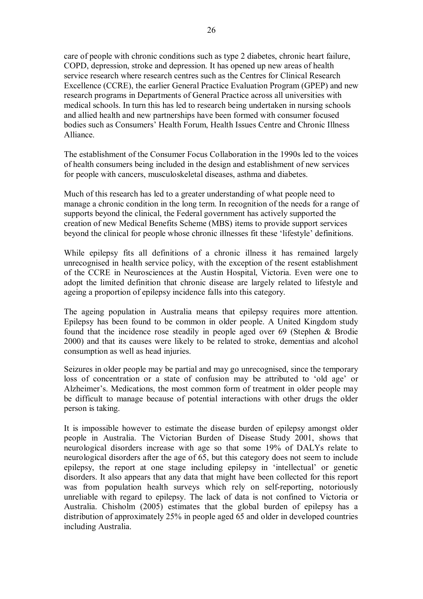care of people with chronic conditions such as type 2 diabetes, chronic heart failure, COPD, depression, stroke and depression. It has opened up new areas of health service research where research centres such as the Centres for Clinical Research Excellence (CCRE), the earlier General Practice Evaluation Program (GPEP) and new research programs in Departments of General Practice across all universities with medical schools. In turn this has led to research being undertaken in nursing schools and allied health and new partnerships have been formed with consumer focused bodies such as Consumers' Health Forum, Health Issues Centre and Chronic Illness Alliance.

The establishment of the Consumer Focus Collaboration in the 1990s led to the voices of health consumers being included in the design and establishment of new services for people with cancers, musculoskeletal diseases, asthma and diabetes.

Much of this research has led to a greater understanding of what people need to manage a chronic condition in the long term. In recognition of the needs for a range of supports beyond the clinical, the Federal government has actively supported the creation of new Medical Benefits Scheme (MBS) items to provide support services beyond the clinical for people whose chronic illnesses fit these 'lifestyle' definitions.

While epilepsy fits all definitions of a chronic illness it has remained largely unrecognised in health service policy, with the exception of the resent establishment of the CCRE in Neurosciences at the Austin Hospital, Victoria. Even were one to adopt the limited definition that chronic disease are largely related to lifestyle and ageing a proportion of epilepsy incidence falls into this category.

The ageing population in Australia means that epilepsy requires more attention. Epilepsy has been found to be common in older people. A United Kingdom study found that the incidence rose steadily in people aged over 69 (Stephen & Brodie 2000) and that its causes were likely to be related to stroke, dementias and alcohol consumption as well as head injuries.

Seizures in older people may be partial and may go unrecognised, since the temporary loss of concentration or a state of confusion may be attributed to 'old age' or Alzheimer's. Medications, the most common form of treatment in older people may be difficult to manage because of potential interactions with other drugs the older person is taking.

It is impossible however to estimate the disease burden of epilepsy amongst older people in Australia. The Victorian Burden of Disease Study 2001, shows that neurological disorders increase with age so that some 19% of DALYs relate to neurological disorders after the age of 65, but this category does not seem to include epilepsy, the report at one stage including epilepsy in 'intellectual' or genetic disorders. It also appears that any data that might have been collected for this report was from population health surveys which rely on self-reporting, notoriously unreliable with regard to epilepsy. The lack of data is not confined to Victoria or Australia. Chisholm (2005) estimates that the global burden of epilepsy has a distribution of approximately 25% in people aged 65 and older in developed countries including Australia.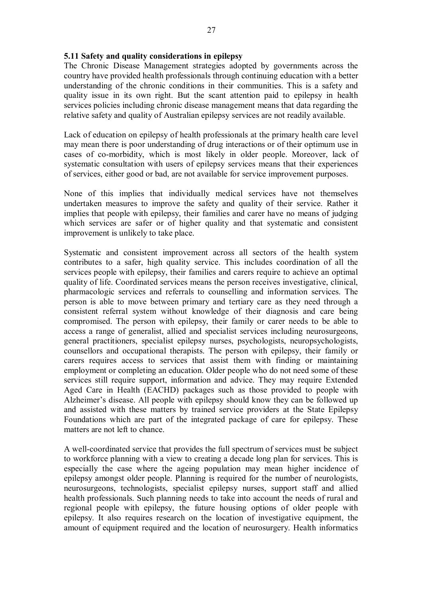### **5.11 Safety and quality considerations in epilepsy**

The Chronic Disease Management strategies adopted by governments across the country have provided health professionals through continuing education with a better understanding of the chronic conditions in their communities. This is a safety and quality issue in its own right. But the scant attention paid to epilepsy in health services policies including chronic disease management means that data regarding the relative safety and quality of Australian epilepsy services are not readily available.

Lack of education on epilepsy of health professionals at the primary health care level may mean there is poor understanding of drug interactions or of their optimum use in cases of co-morbidity, which is most likely in older people. Moreover, lack of systematic consultation with users of epilepsy services means that their experiences of services, either good or bad, are not available for service improvement purposes.

None of this implies that individually medical services have not themselves undertaken measures to improve the safety and quality of their service. Rather it implies that people with epilepsy, their families and carer have no means of judging which services are safer or of higher quality and that systematic and consistent improvement is unlikely to take place.

Systematic and consistent improvement across all sectors of the health system contributes to a safer, high quality service. This includes coordination of all the services people with epilepsy, their families and carers require to achieve an optimal quality of life. Coordinated services means the person receives investigative, clinical, pharmacologic services and referrals to counselling and information services. The person is able to move between primary and tertiary care as they need through a consistent referral system without knowledge of their diagnosis and care being compromised. The person with epilepsy, their family or carer needs to be able to access a range of generalist, allied and specialist services including neurosurgeons, general practitioners, specialist epilepsy nurses, psychologists, neuropsychologists, counsellors and occupational therapists. The person with epilepsy, their family or carers requires access to services that assist them with finding or maintaining employment or completing an education. Older people who do not need some of these services still require support, information and advice. They may require Extended Aged Care in Health (EACHD) packages such as those provided to people with Alzheimer's disease. All people with epilepsy should know they can be followed up and assisted with these matters by trained service providers at the State Epilepsy Foundations which are part of the integrated package of care for epilepsy. These matters are not left to chance.

A well-coordinated service that provides the full spectrum of services must be subject to workforce planning with a view to creating a decade long plan for services. This is especially the case where the ageing population may mean higher incidence of epilepsy amongst older people. Planning is required for the number of neurologists, neurosurgeons, technologists, specialist epilepsy nurses, support staff and allied health professionals. Such planning needs to take into account the needs of rural and regional people with epilepsy, the future housing options of older people with epilepsy. It also requires research on the location of investigative equipment, the amount of equipment required and the location of neurosurgery. Health informatics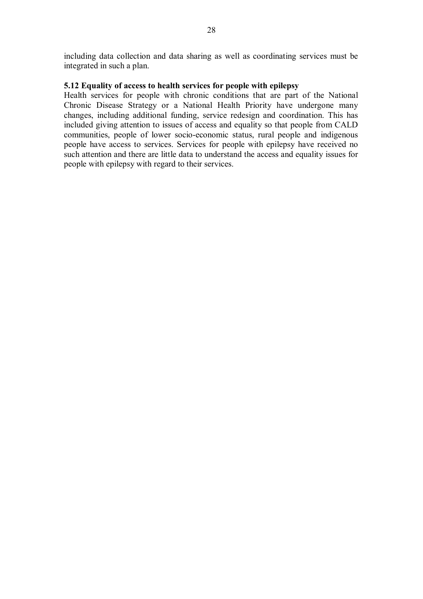including data collection and data sharing as well as coordinating services must be integrated in such a plan.

## **5.12 Equality of access to health services for people with epilepsy**

Health services for people with chronic conditions that are part of the National Chronic Disease Strategy or a National Health Priority have undergone many changes, including additional funding, service redesign and coordination. This has included giving attention to issues of access and equality so that people from CALD communities, people of lower socio-economic status, rural people and indigenous people have access to services. Services for people with epilepsy have received no such attention and there are little data to understand the access and equality issues for people with epilepsy with regard to their services.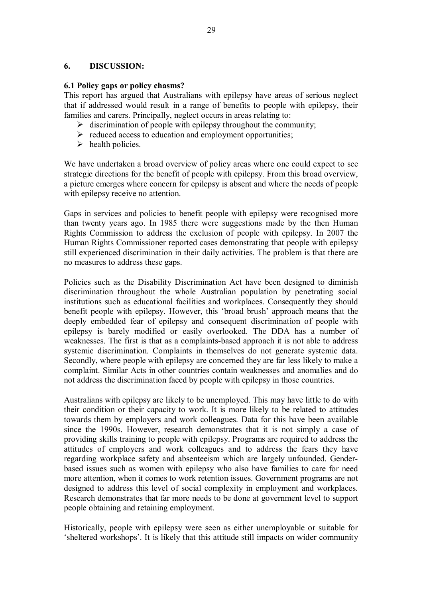### **6. DISCUSSION:**

#### **6.1 Policy gaps or policy chasms?**

This report has argued that Australians with epilepsy have areas of serious neglect that if addressed would result in a range of benefits to people with epilepsy, their families and carers. Principally, neglect occurs in areas relating to:

- $\triangleright$  discrimination of people with epilepsy throughout the community;
- $\triangleright$  reduced access to education and employment opportunities;
- $\triangleright$  health policies.

We have undertaken a broad overview of policy areas where one could expect to see strategic directions for the benefit of people with epilepsy. From this broad overview, a picture emerges where concern for epilepsy is absent and where the needs of people with epilepsy receive no attention.

Gaps in services and policies to benefit people with epilepsy were recognised more than twenty years ago. In 1985 there were suggestions made by the then Human Rights Commission to address the exclusion of people with epilepsy. In 2007 the Human Rights Commissioner reported cases demonstrating that people with epilepsy still experienced discrimination in their daily activities. The problem is that there are no measures to address these gaps.

Policies such as the Disability Discrimination Act have been designed to diminish discrimination throughout the whole Australian population by penetrating social institutions such as educational facilities and workplaces. Consequently they should benefit people with epilepsy. However, this 'broad brush' approach means that the deeply embedded fear of epilepsy and consequent discrimination of people with epilepsy is barely modified or easily overlooked. The DDA has a number of weaknesses. The first is that as a complaints-based approach it is not able to address systemic discrimination. Complaints in themselves do not generate systemic data. Secondly, where people with epilepsy are concerned they are far less likely to make a complaint. Similar Acts in other countries contain weaknesses and anomalies and do not address the discrimination faced by people with epilepsy in those countries.

Australians with epilepsy are likely to be unemployed. This may have little to do with their condition or their capacity to work. It is more likely to be related to attitudes towards them by employers and work colleagues. Data for this have been available since the 1990s. However, research demonstrates that it is not simply a case of providing skills training to people with epilepsy. Programs are required to address the attitudes of employers and work colleagues and to address the fears they have regarding workplace safety and absenteeism which are largely unfounded. Genderbased issues such as women with epilepsy who also have families to care for need more attention, when it comes to work retention issues. Government programs are not designed to address this level of social complexity in employment and workplaces. Research demonstrates that far more needs to be done at government level to support people obtaining and retaining employment.

Historically, people with epilepsy were seen as either unemployable or suitable for 'sheltered workshops'. It is likely that this attitude still impacts on wider community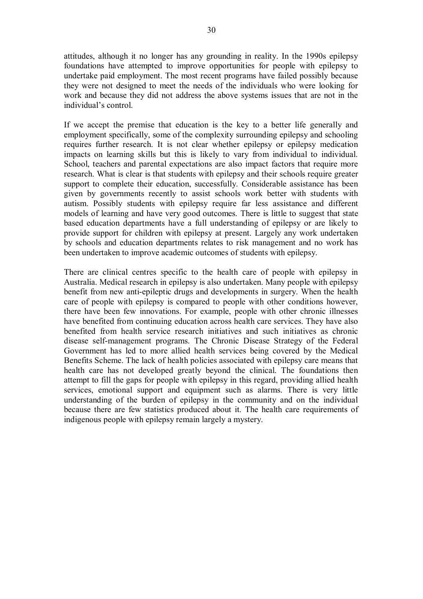attitudes, although it no longer has any grounding in reality. In the 1990s epilepsy foundations have attempted to improve opportunities for people with epilepsy to undertake paid employment. The most recent programs have failed possibly because they were not designed to meet the needs of the individuals who were looking for work and because they did not address the above systems issues that are not in the individual's control.

If we accept the premise that education is the key to a better life generally and employment specifically, some of the complexity surrounding epilepsy and schooling requires further research. It is not clear whether epilepsy or epilepsy medication impacts on learning skills but this is likely to vary from individual to individual. School, teachers and parental expectations are also impact factors that require more research. What is clear is that students with epilepsy and their schools require greater support to complete their education, successfully. Considerable assistance has been given by governments recently to assist schools work better with students with autism. Possibly students with epilepsy require far less assistance and different models of learning and have very good outcomes. There is little to suggest that state based education departments have a full understanding of epilepsy or are likely to provide support for children with epilepsy at present. Largely any work undertaken by schools and education departments relates to risk management and no work has been undertaken to improve academic outcomes of students with epilepsy.

There are clinical centres specific to the health care of people with epilepsy in Australia. Medical research in epilepsy is also undertaken. Many people with epilepsy benefit from new anti-epileptic drugs and developments in surgery. When the health care of people with epilepsy is compared to people with other conditions however, there have been few innovations. For example, people with other chronic illnesses have benefited from continuing education across health care services. They have also benefited from health service research initiatives and such initiatives as chronic disease self-management programs. The Chronic Disease Strategy of the Federal Government has led to more allied health services being covered by the Medical Benefits Scheme. The lack of health policies associated with epilepsy care means that health care has not developed greatly beyond the clinical. The foundations then attempt to fill the gaps for people with epilepsy in this regard, providing allied health services, emotional support and equipment such as alarms. There is very little understanding of the burden of epilepsy in the community and on the individual because there are few statistics produced about it. The health care requirements of indigenous people with epilepsy remain largely a mystery.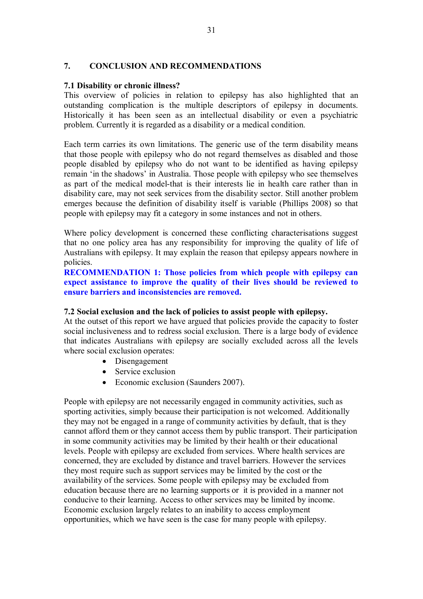#### **7. CONCLUSION AND RECOMMENDATIONS**

#### **7.1 Disability or chronic illness?**

This overview of policies in relation to epilepsy has also highlighted that an outstanding complication is the multiple descriptors of epilepsy in documents. Historically it has been seen as an intellectual disability or even a psychiatric problem. Currently it is regarded as a disability or a medical condition.

Each term carries its own limitations. The generic use of the term disability means that those people with epilepsy who do not regard themselves as disabled and those people disabled by epilepsy who do not want to be identified as having epilepsy remain 'in the shadows' in Australia. Those people with epilepsy who see themselves as part of the medical model-that is their interests lie in health care rather than in disability care, may not seek services from the disability sector. Still another problem emerges because the definition of disability itself is variable (Phillips 2008) so that people with epilepsy may fit a category in some instances and not in others.

Where policy development is concerned these conflicting characterisations suggest that no one policy area has any responsibility for improving the quality of life of Australians with epilepsy. It may explain the reason that epilepsy appears nowhere in policies.

**RECOMMENDATION 1: Those policies from which people with epilepsy can expect assistance to improve the quality of their lives should be reviewed to ensure barriers and inconsistencies are removed.**

#### **7.2 Social exclusion and the lack of policies to assist people with epilepsy.**

At the outset of this report we have argued that policies provide the capacity to foster social inclusiveness and to redress social exclusion. There is a large body of evidence that indicates Australians with epilepsy are socially excluded across all the levels where social exclusion operates:

- Disengagement
- Service exclusion
- Economic exclusion (Saunders 2007).

People with epilepsy are not necessarily engaged in community activities, such as sporting activities, simply because their participation is not welcomed. Additionally they may not be engaged in a range of community activities by default, that is they cannot afford them or they cannot access them by public transport. Their participation in some community activities may be limited by their health or their educational levels. People with epilepsy are excluded from services. Where health services are concerned, they are excluded by distance and travel barriers. However the services they most require such as support services may be limited by the cost or the availability of the services. Some people with epilepsy may be excluded from education because there are no learning supports or it is provided in a manner not conducive to their learning. Access to other services may be limited by income. Economic exclusion largely relates to an inability to access employment opportunities, which we have seen is the case for many people with epilepsy.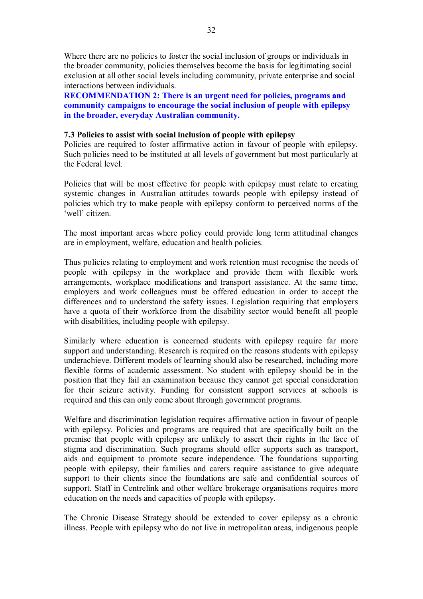Where there are no policies to foster the social inclusion of groups or individuals in the broader community, policies themselves become the basis for legitimating social exclusion at all other social levels including community, private enterprise and social interactions between individuals.

**RECOMMENDATION 2: There is an urgent need for policies, programs and community campaigns to encourage the social inclusion of people with epilepsy in the broader, everyday Australian community.**

#### **7.3 Policies to assist with social inclusion of people with epilepsy**

Policies are required to foster affirmative action in favour of people with epilepsy. Such policies need to be instituted at all levels of government but most particularly at the Federal level.

Policies that will be most effective for people with epilepsy must relate to creating systemic changes in Australian attitudes towards people with epilepsy instead of policies which try to make people with epilepsy conform to perceived norms of the 'well' citizen.

The most important areas where policy could provide long term attitudinal changes are in employment, welfare, education and health policies.

Thus policies relating to employment and work retention must recognise the needs of people with epilepsy in the workplace and provide them with flexible work arrangements, workplace modifications and transport assistance. At the same time, employers and work colleagues must be offered education in order to accept the differences and to understand the safety issues. Legislation requiring that employers have a quota of their workforce from the disability sector would benefit all people with disabilities, including people with epilepsy.

Similarly where education is concerned students with epilepsy require far more support and understanding. Research is required on the reasons students with epilepsy underachieve. Different models of learning should also be researched, including more flexible forms of academic assessment. No student with epilepsy should be in the position that they fail an examination because they cannot get special consideration for their seizure activity. Funding for consistent support services at schools is required and this can only come about through government programs.

Welfare and discrimination legislation requires affirmative action in favour of people with epilepsy. Policies and programs are required that are specifically built on the premise that people with epilepsy are unlikely to assert their rights in the face of stigma and discrimination. Such programs should offer supports such as transport, aids and equipment to promote secure independence. The foundations supporting people with epilepsy, their families and carers require assistance to give adequate support to their clients since the foundations are safe and confidential sources of support. Staff in Centrelink and other welfare brokerage organisations requires more education on the needs and capacities of people with epilepsy.

The Chronic Disease Strategy should be extended to cover epilepsy as a chronic illness. People with epilepsy who do not live in metropolitan areas, indigenous people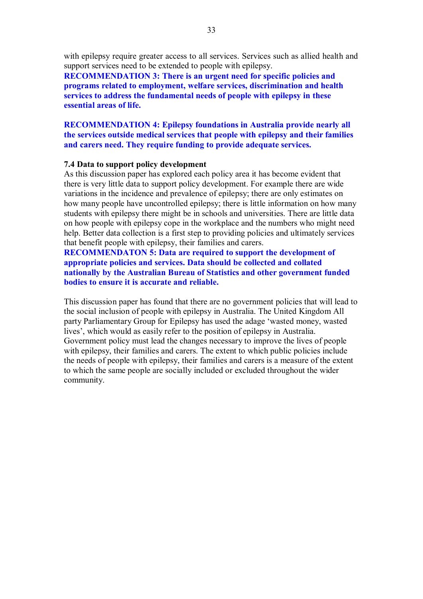with epilepsy require greater access to all services. Services such as allied health and support services need to be extended to people with epilepsy.

**RECOMMENDATION 3: There is an urgent need for specific policies and programs related to employment, welfare services, discrimination and health services to address the fundamental needs of people with epilepsy in these essential areas of life.** 

## **RECOMMENDATION 4: Epilepsy foundations in Australia provide nearly all the services outside medical services that people with epilepsy and their families and carers need. They require funding to provide adequate services.**

#### **7.4 Data to support policy development**

As this discussion paper has explored each policy area it has become evident that there is very little data to support policy development. For example there are wide variations in the incidence and prevalence of epilepsy; there are only estimates on how many people have uncontrolled epilepsy; there is little information on how many students with epilepsy there might be in schools and universities. There are little data on how people with epilepsy cope in the workplace and the numbers who might need help. Better data collection is a first step to providing policies and ultimately services that benefit people with epilepsy, their families and carers.

**RECOMMENDATON 5: Data are required to support the development of appropriate policies and services. Data should be collected and collated nationally by the Australian Bureau of Statistics and other government funded bodies to ensure it is accurate and reliable.**

This discussion paper has found that there are no government policies that will lead to the social inclusion of people with epilepsy in Australia. The United Kingdom All party Parliamentary Group for Epilepsy has used the adage 'wasted money, wasted lives', which would as easily refer to the position of epilepsy in Australia. Government policy must lead the changes necessary to improve the lives of people with epilepsy, their families and carers. The extent to which public policies include the needs of people with epilepsy, their families and carers is a measure of the extent to which the same people are socially included or excluded throughout the wider community.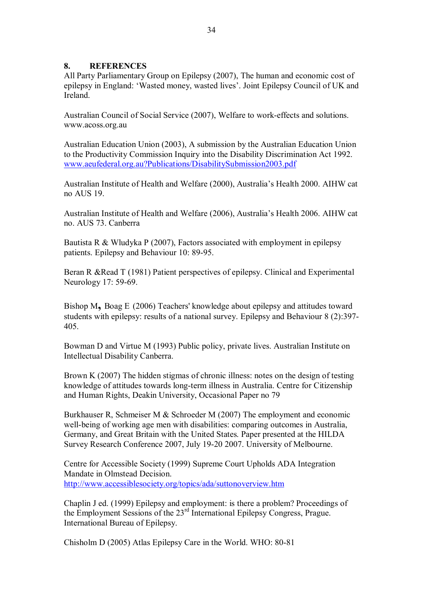## **8. REFERENCES**

All Party Parliamentary Group on Epilepsy (2007), The human and economic cost of epilepsy in England: 'Wasted money, wasted lives'. Joint Epilepsy Council of UK and Ireland.

Australian Council of Social Service (2007), Welfare to workeffects and solutions. www.acoss.org.au

Australian Education Union (2003), A submission by the Australian Education Union to the Productivity Commission Inquiry into the Disability Discrimination Act 1992. www.aeufederal.org.au?Publications/DisabilitySubmission2003.pdf

Australian Institute of Health and Welfare (2000), Australia's Health 2000. AIHW cat no AUS 19.

Australian Institute of Health and Welfare (2006), Australia's Health 2006. AIHW cat no. AUS 73. Canberra

Bautista R & Wludyka P (2007), Factors associated with employment in epilepsy patients. Epilepsy and Behaviour 10: 89-95.

Beran R &Read T (1981) Patient perspectives of epilepsy. Clinical and Experimental Neurology 17: 59-69.

Bishop M**,** Boag E (2006) Teachers' knowledge about epilepsy and attitudes toward students with epilepsy: results of a national survey. Epilepsy and Behaviour 8 (2):397 405.

Bowman D and Virtue M (1993) Public policy, private lives. Australian Institute on Intellectual Disability Canberra.

Brown K (2007) The hidden stigmas of chronic illness: notes on the design of testing knowledge of attitudes towards long-term illness in Australia. Centre for Citizenship and Human Rights, Deakin University, Occasional Paper no 79

Burkhauser R, Schmeiser M & Schroeder M (2007) The employment and economic well-being of working age men with disabilities: comparing outcomes in Australia, Germany, and Great Britain with the United States. Paper presented at the HILDA Survey Research Conference 2007, July 19-20 2007. University of Melbourne.

Centre for Accessible Society (1999) Supreme Court Upholds ADA Integration Mandate in Olmstead Decision. http://www.accessiblesociety.org/topics/ada/suttonoverview.htm

Chaplin J ed. (1999) Epilepsy and employment: is there a problem? Proceedings of the Employment Sessions of the 23<sup>rd</sup> International Epilepsy Congress, Prague. International Bureau of Epilepsy.

Chisholm D (2005) Atlas Epilepsy Care in the World. WHO: 80-81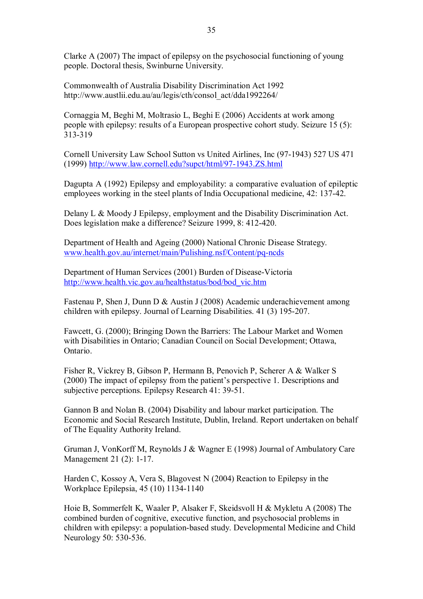Clarke A (2007) The impact of epilepsy on the psychosocial functioning of young people. Doctoral thesis, Swinburne University.

Commonwealth of Australia Disability Discrimination Act 1992 http://www.austlii.edu.au/au/legis/cth/consol\_act/dda1992264/

Cornaggia M, Beghi M, Moltrasio L, Beghi E (2006) Accidents at work among people with epilepsy: results of a European prospective cohort study. Seizure 15 (5): 313-319

Cornell University Law School Sutton vs United Airlines, Inc (97-1943) 527 US 471 (1999) http://www.law.cornell.edu?supct/html/97-1943.ZS.html

Dagupta A (1992) Epilepsy and employability: a comparative evaluation of epileptic employees working in the steel plants of India Occupational medicine, 42: 137-42.

Delany L & Moody J Epilepsy, employment and the Disability Discrimination Act. Does legislation make a difference? Seizure 1999, 8: 412-420.

Department of Health and Ageing (2000) National Chronic Disease Strategy. www.health.gov.au/internet/main/Pulishing.nsf/Content/pq-ncds

Department of Human Services (2001) Burden of Disease-Victoria http://www.health.vic.gov.au/healthstatus/bod/bod\_vic.htm

Fastenau P, Shen J, Dunn D & Austin J (2008) Academic underachievement among children with epilepsy. Journal of Learning Disabilities. 41 (3) 195-207.

Fawcett, G. (2000); Bringing Down the Barriers: The Labour Market and Women with Disabilities in Ontario; Canadian Council on Social Development; Ottawa, Ontario.

Fisher R, Vickrey B, Gibson P, Hermann B, Penovich P, Scherer A & Walker S (2000) The impact of epilepsy from the patient's perspective 1. Descriptions and subjective perceptions. Epilepsy Research 41: 39-51.

Gannon B and Nolan B. (2004) Disability and labour market participation. The Economic and Social Research Institute, Dublin, Ireland. Report undertaken on behalf of The Equality Authority Ireland.

Gruman J, VonKorff M, Reynolds J & Wagner E (1998) Journal of Ambulatory Care Management  $21$  (2): 1-17.

Harden C, Kossoy A, Vera S, Blagovest N (2004) Reaction to Epilepsy in the Workplace Epilepsia, 45 (10) 1134-1140

Hoie B, Sommerfelt K, Waaler P, Alsaker F, Skeidsvoll H & Mykletu A (2008) The combined burden of cognitive, executive function, and psychosocial problems in children with epilepsy: a population-based study. Developmental Medicine and Child Neurology 50: 530-536.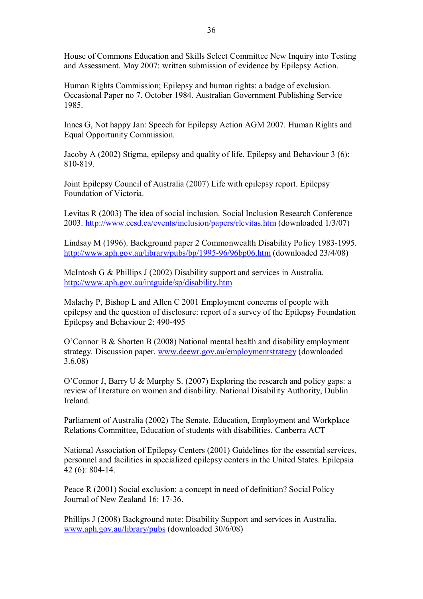House of Commons Education and Skills Select Committee New Inquiry into Testing and Assessment. May 2007: written submission of evidence by Epilepsy Action.

Human Rights Commission; Epilepsy and human rights: a badge of exclusion. Occasional Paper no 7. October 1984. Australian Government Publishing Service 1985.

Innes G, Not happy Jan: Speech for Epilepsy Action AGM 2007. Human Rights and Equal Opportunity Commission.

Jacoby A (2002) Stigma, epilepsy and quality of life. Epilepsy and Behaviour 3 (6): 810-819.

Joint Epilepsy Council of Australia (2007) Life with epilepsy report. Epilepsy Foundation of Victoria.

Levitas R (2003) The idea of social inclusion. Social Inclusion Research Conference 2003. http://www.ccsd.ca/events/inclusion/papers/rlevitas.htm (downloaded 1/3/07)

Lindsay M (1996). Background paper 2 Commonwealth Disability Policy 1983-1995. http://www.aph.gov.au/library/pubs/bp/1995-96/96bp06.htm (downloaded 23/4/08)

McIntosh G & Phillips J (2002) Disability support and services in Australia. http://www.aph.gov.au/intguide/sp/disability.htm

Malachy P, Bishop L and Allen C 2001 Employment concerns of people with epilepsy and the question of disclosure: report of a survey of the Epilepsy Foundation Epilepsy and Behaviour 2: 490-495

O'Connor B & Shorten B (2008) National mental health and disability employment strategy. Discussion paper. www.deewr.gov.au/employmentstrategy (downloaded 3.6.08)

O'Connor J, Barry U & Murphy S. (2007) Exploring the research and policy gaps: a review of literature on women and disability. National Disability Authority, Dublin Ireland.

Parliament of Australia (2002) The Senate, Education, Employment and Workplace Relations Committee, Education of students with disabilities. Canberra ACT

National Association of Epilepsy Centers (2001) Guidelines for the essential services, personnel and facilities in specialized epilepsy centers in the United States. Epilepsia 42 (6): 804-14.

Peace R (2001) Social exclusion: a concept in need of definition? Social Policy Journal of New Zealand 16: 17-36.

Phillips J (2008) Background note: Disability Support and services in Australia. www.aph.gov.au/library/pubs (downloaded 30/6/08)